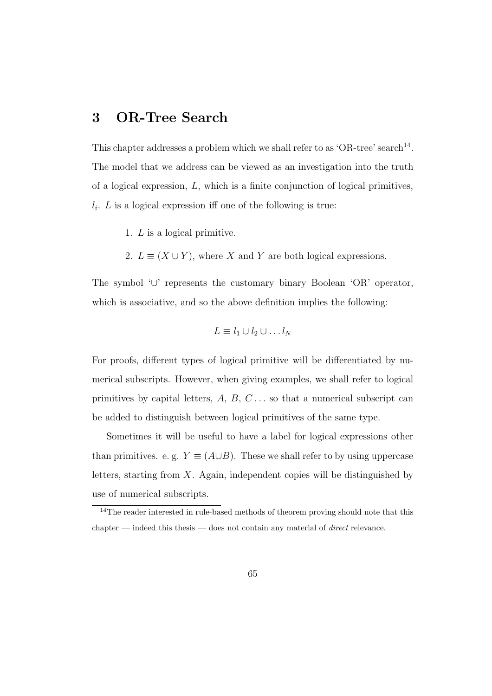# **3 OR-Tree Search**

This chapter addresses a problem which we shall refer to as 'OR-tree' search<sup>14</sup>. The model that we address can be viewed as an investigation into the truth of a logical expression, L, which is a finite conjunction of logical primitives,  $l_i$ . L is a logical expression iff one of the following is true:

- 1. L is a logical primitive.
- 2.  $L \equiv (X \cup Y)$ , where X and Y are both logical expressions.

The symbol '∪' represents the customary binary Boolean 'OR' operator, which is associative, and so the above definition implies the following:

$$
L \equiv l_1 \cup l_2 \cup \ldots l_N
$$

For proofs, different types of logical primitive will be differentiated by numerical subscripts. However, when giving examples, we shall refer to logical primitives by capital letters,  $A, B, C \ldots$  so that a numerical subscript can be added to distinguish between logical primitives of the same type.

Sometimes it will be useful to have a label for logical expressions other than primitives. e. g.  $Y \equiv (A \cup B)$ . These we shall refer to by using uppercase letters, starting from  $X$ . Again, independent copies will be distinguished by use of numerical subscripts.

<sup>&</sup>lt;sup>14</sup>The reader interested in rule-based methods of theorem proving should note that this chapter — indeed this thesis — does not contain any material of *direct* relevance.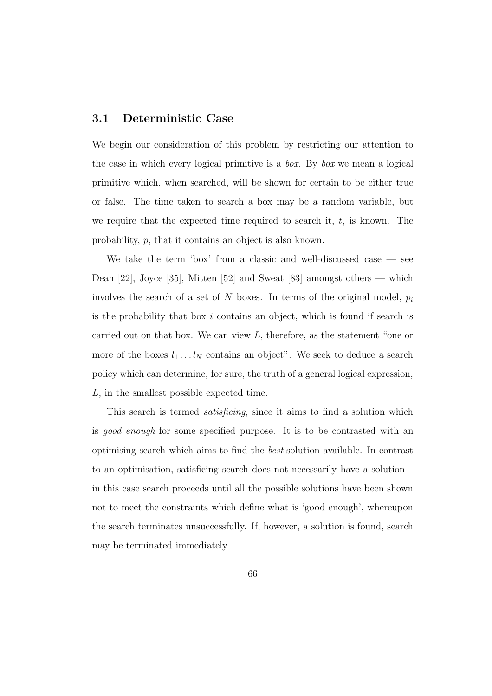#### **3.1 Deterministic Case**

We begin our consideration of this problem by restricting our attention to the case in which every logical primitive is a box. By box we mean a logical primitive which, when searched, will be shown for certain to be either true or false. The time taken to search a box may be a random variable, but we require that the expected time required to search it,  $t$ , is known. The probability, p, that it contains an object is also known.

We take the term 'box' from a classic and well-discussed case — see Dean [22], Joyce [35], Mitten [52] and Sweat [83] amongst others — which involves the search of a set of N boxes. In terms of the original model,  $p_i$ is the probability that box i contains an object, which is found if search is carried out on that box. We can view  $L$ , therefore, as the statement "one or more of the boxes  $l_1 \ldots l_N$  contains an object". We seek to deduce a search policy which can determine, for sure, the truth of a general logical expression, L, in the smallest possible expected time.

This search is termed satisficing, since it aims to find a solution which is good enough for some specified purpose. It is to be contrasted with an optimising search which aims to find the best solution available. In contrast to an optimisation, satisficing search does not necessarily have a solution – in this case search proceeds until all the possible solutions have been shown not to meet the constraints which define what is 'good enough', whereupon the search terminates unsuccessfully. If, however, a solution is found, search may be terminated immediately.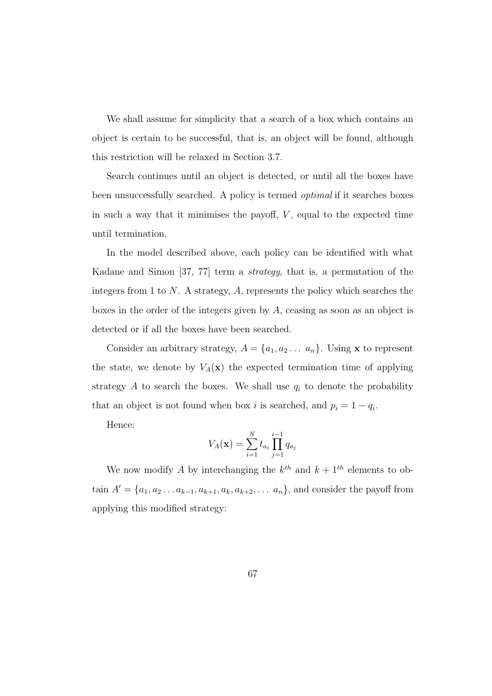We shall assume for simplicity that a search of a box which contains an object is certain to be successful, that is, an object will be found, although this restriction will be relaxed in Section 3.7.

Search continues until an object is detected, or until all the boxes have been unsuccessfully searched. A policy is termed optimal if it searches boxes in such a way that it minimises the payoff,  $V$ , equal to the expected time until termination.

In the model described above, each policy can be identified with what Kadane and Simon [37, 77] term a strategy, that is, a permutation of the integers from 1 to  $N$ . A strategy,  $A$ , represents the policy which searches the boxes in the order of the integers given by A, ceasing as soon as an object is detected or if all the boxes have been searched.

Consider an arbitrary strategy,  $A = \{a_1, a_2 \dots a_n\}$ . Using **x** to represent the state, we denote by  $V_A(\mathbf{x})$  the expected termination time of applying strategy  $A$  to search the boxes. We shall use  $q_i$  to denote the probability that an object is not found when box i is searched, and  $p_i = 1 - q_i$ .

Hence:

$$
V_A(\mathbf{x}) = \sum_{i=1}^{N} t_{a_i} \prod_{j=1}^{i-1} q_{a_j}
$$

We now modify A by interchanging the  $k^{th}$  and  $k + 1^{th}$  elements to obtain  $A' = \{a_1, a_2, \ldots a_{k-1}, a_{k+1}, a_k, a_{k+2}, \ldots, a_n\}$ , and consider the payoff from applying this modified strategy: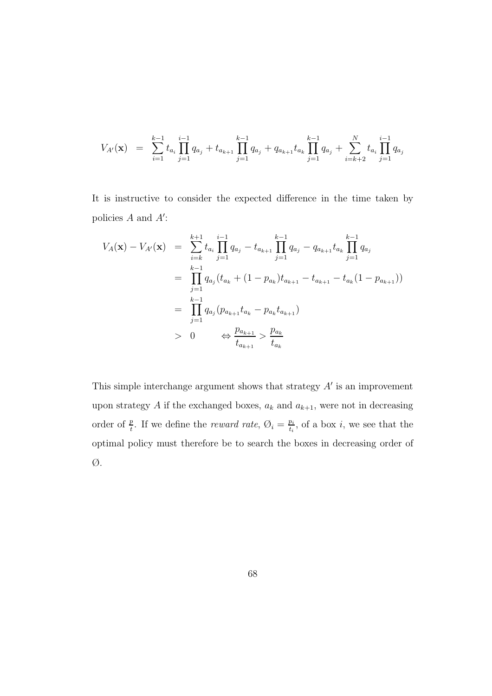$$
V_{A'}(\mathbf{x}) = \sum_{i=1}^{k-1} t_{a_i} \prod_{j=1}^{i-1} q_{a_j} + t_{a_{k+1}} \prod_{j=1}^{k-1} q_{a_j} + q_{a_{k+1}} t_{a_k} \prod_{j=1}^{k-1} q_{a_j} + \sum_{i=k+2}^{N} t_{a_i} \prod_{j=1}^{i-1} q_{a_j}
$$

It is instructive to consider the expected difference in the time taken by policies  $A$  and  $A'$ :

$$
V_A(\mathbf{x}) - V_{A'}(\mathbf{x}) = \sum_{i=k}^{k+1} t_{a_i} \prod_{j=1}^{i-1} q_{a_j} - t_{a_{k+1}} \prod_{j=1}^{k-1} q_{a_j} - q_{a_{k+1}} t_{a_k} \prod_{j=1}^{k-1} q_{a_j}
$$
  
\n
$$
= \prod_{j=1}^{k-1} q_{a_j} (t_{a_k} + (1 - p_{a_k}) t_{a_{k+1}} - t_{a_{k+1}} - t_{a_k} (1 - p_{a_{k+1}}))
$$
  
\n
$$
= \prod_{j=1}^{k-1} q_{a_j} (p_{a_{k+1}} t_{a_k} - p_{a_k} t_{a_{k+1}})
$$
  
\n
$$
> 0 \qquad \Leftrightarrow \frac{p_{a_{k+1}}}{t_{a_{k+1}}} > \frac{p_{a_k}}{t_{a_k}}
$$

This simple interchange argument shows that strategy  $A'$  is an improvement upon strategy  $A$  if the exchanged boxes,  $a_k$  and  $a_{k+1}$ , were not in decreasing order of  $\frac{p}{t}$ . If we define the *reward rate*,  $\emptyset_i = \frac{p_i}{t_i}$ , of a box *i*, we see that the optimal policy must therefore be to search the boxes in decreasing order of Ø.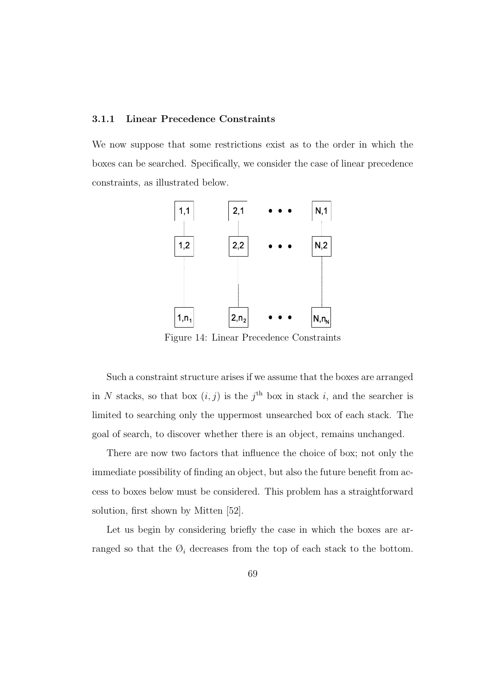#### **3.1.1 Linear Precedence Constraints**

We now suppose that some restrictions exist as to the order in which the boxes can be searched. Specifically, we consider the case of linear precedence constraints, as illustrated below.



Figure 14: Linear Precedence Constraints

Such a constraint structure arises if we assume that the boxes are arranged in N stacks, so that box  $(i, j)$  is the j<sup>th</sup> box in stack i, and the searcher is limited to searching only the uppermost unsearched box of each stack. The goal of search, to discover whether there is an object, remains unchanged.

There are now two factors that influence the choice of box; not only the immediate possibility of finding an object, but also the future benefit from access to boxes below must be considered. This problem has a straightforward solution, first shown by Mitten [52].

Let us begin by considering briefly the case in which the boxes are arranged so that the  $\mathcal{O}_i$  decreases from the top of each stack to the bottom.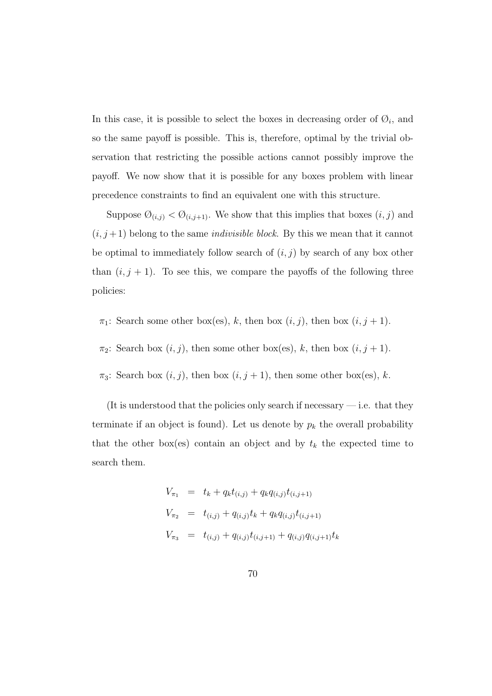In this case, it is possible to select the boxes in decreasing order of  $\mathcal{O}_i$ , and so the same payoff is possible. This is, therefore, optimal by the trivial observation that restricting the possible actions cannot possibly improve the payoff. We now show that it is possible for any boxes problem with linear precedence constraints to find an equivalent one with this structure.

Suppose  $\mathcal{O}_{(i,j)} < \mathcal{O}_{(i,j+1)}$ . We show that this implies that boxes  $(i, j)$  and  $(i, j+1)$  belong to the same *indivisible block*. By this we mean that it cannot be optimal to immediately follow search of  $(i, j)$  by search of any box other than  $(i, j + 1)$ . To see this, we compare the payoffs of the following three policies:

- $\pi_1$ : Search some other box(es), k, then box  $(i, j)$ , then box  $(i, j + 1)$ .
- $\pi_2$ : Search box  $(i, j)$ , then some other box(es), k, then box  $(i, j + 1)$ .
- $\pi_3$ : Search box  $(i, j)$ , then box  $(i, j + 1)$ , then some other box(es), k.

(It is understood that the policies only search if necessary  $-$  i.e. that they terminate if an object is found). Let us denote by  $p_k$  the overall probability that the other box(es) contain an object and by  $t_k$  the expected time to search them.

$$
V_{\pi_1} = t_k + q_k t_{(i,j)} + q_k q_{(i,j)} t_{(i,j+1)}
$$
  
\n
$$
V_{\pi_2} = t_{(i,j)} + q_{(i,j)} t_k + q_k q_{(i,j)} t_{(i,j+1)}
$$
  
\n
$$
V_{\pi_3} = t_{(i,j)} + q_{(i,j)} t_{(i,j+1)} + q_{(i,j)} q_{(i,j+1)} t_k
$$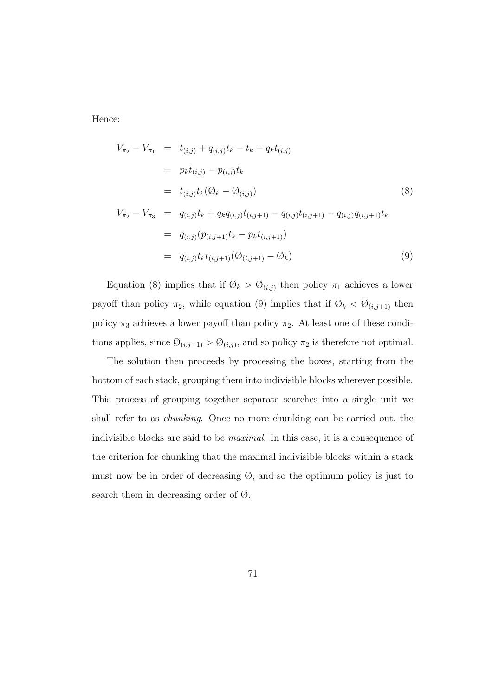Hence:

$$
V_{\pi_2} - V_{\pi_1} = t_{(i,j)} + q_{(i,j)}t_k - t_k - q_k t_{(i,j)}
$$
  
\n
$$
= p_k t_{(i,j)} - p_{(i,j)}t_k
$$
  
\n
$$
= t_{(i,j)}t_k(\mathcal{O}_k - \mathcal{O}_{(i,j)})
$$
  
\n
$$
V_{\pi_2} - V_{\pi_3} = q_{(i,j)}t_k + q_k q_{(i,j)}t_{(i,j+1)} - q_{(i,j)}t_{(i,j+1)} - q_{(i,j)}q_{(i,j+1)}t_k
$$
  
\n
$$
= q_{(i,j)}(p_{(i,j+1)}t_k - p_k t_{(i,j+1)})
$$
  
\n
$$
= q_{(i,j)}t_k t_{(i,j+1)}(\mathcal{O}_{(i,j+1)} - \mathcal{O}_k)
$$
  
\n(9)

Equation (8) implies that if  $\mathcal{O}_k > \mathcal{O}_{(i,j)}$  then policy  $\pi_1$  achieves a lower payoff than policy  $\pi_2$ , while equation (9) implies that if  $\emptyset_k < \emptyset_{(i,j+1)}$  then policy  $\pi_3$  achieves a lower payoff than policy  $\pi_2.$  At least one of these conditions applies, since  $\mathcal{O}_{(i,j+1)} > \mathcal{O}_{(i,j)}$ , and so policy  $\pi_2$  is therefore not optimal.

The solution then proceeds by processing the boxes, starting from the bottom of each stack, grouping them into indivisible blocks wherever possible. This process of grouping together separate searches into a single unit we shall refer to as chunking. Once no more chunking can be carried out, the indivisible blocks are said to be maximal. In this case, it is a consequence of the criterion for chunking that the maximal indivisible blocks within a stack must now be in order of decreasing  $\emptyset$ , and so the optimum policy is just to search them in decreasing order of Ø.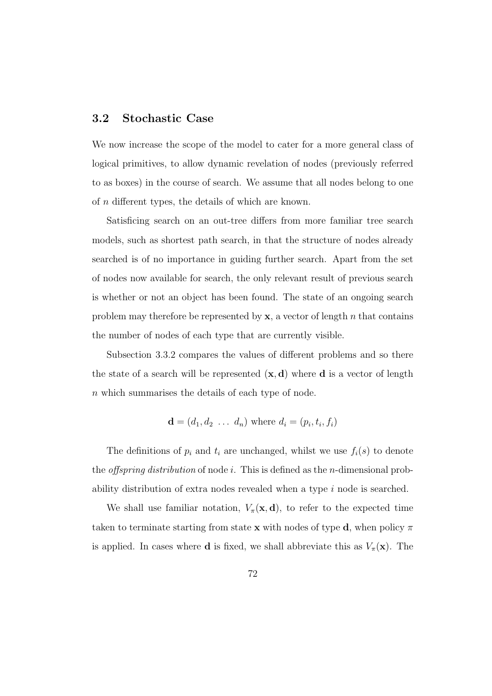### **3.2 Stochastic Case**

We now increase the scope of the model to cater for a more general class of logical primitives, to allow dynamic revelation of nodes (previously referred to as boxes) in the course of search. We assume that all nodes belong to one of n different types, the details of which are known.

Satisficing search on an out-tree differs from more familiar tree search models, such as shortest path search, in that the structure of nodes already searched is of no importance in guiding further search. Apart from the set of nodes now available for search, the only relevant result of previous search is whether or not an object has been found. The state of an ongoing search problem may therefore be represented by  $x$ , a vector of length n that contains the number of nodes of each type that are currently visible.

Subsection 3.3.2 compares the values of different problems and so there the state of a search will be represented  $(x, d)$  where **d** is a vector of length n which summarises the details of each type of node.

$$
\mathbf{d} = (d_1, d_2 \ldots d_n) \text{ where } d_i = (p_i, t_i, f_i)
$$

The definitions of  $p_i$  and  $t_i$  are unchanged, whilst we use  $f_i(s)$  to denote the *offspring distribution* of node i. This is defined as the *n*-dimensional probability distribution of extra nodes revealed when a type i node is searched.

We shall use familiar notation,  $V_\pi(\mathbf{x}, \mathbf{d})$ , to refer to the expected time taken to terminate starting from state **x** with nodes of type **d**, when policy  $\pi$ is applied. In cases where **d** is fixed, we shall abbreviate this as  $V_\pi(\mathbf{x})$ . The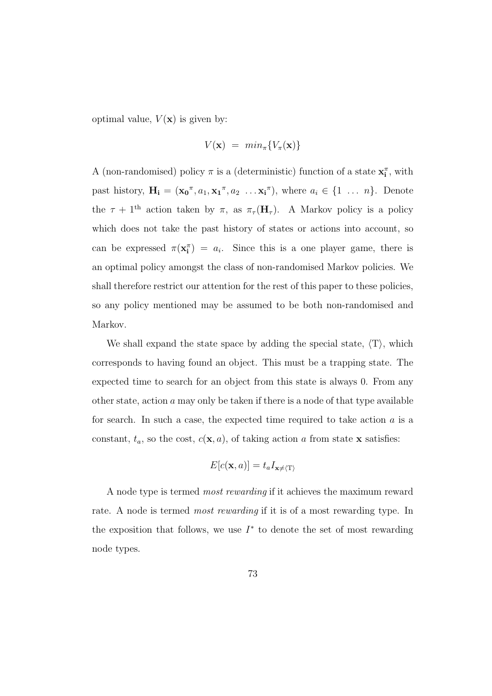optimal value,  $V(\mathbf{x})$  is given by:

$$
V(\mathbf{x}) = min_{\pi}\{V_{\pi}(\mathbf{x})\}
$$

A (non-randomised) policy  $\pi$  is a (deterministic) function of a state  $\mathbf{x}_i^{\pi}$ , with past history,  $\mathbf{H_i} = (\mathbf{x_0}^{\pi}, a_1, \mathbf{x_1}^{\pi}, a_2 \dots \mathbf{x_i}^{\pi})$ , where  $a_i \in \{1 \dots n\}$ . Denote the  $\tau + 1^{\text{th}}$  action taken by  $\pi$ , as  $\pi_{\tau}(\mathbf{H}_{\tau})$ . A Markov policy is a policy which does not take the past history of states or actions into account, so can be expressed  $\pi(\mathbf{x}_i^{\pi}) = a_i$ . Since this is a one player game, there is an optimal policy amongst the class of non-randomised Markov policies. We shall therefore restrict our attention for the rest of this paper to these policies, so any policy mentioned may be assumed to be both non-randomised and Markov.

We shall expand the state space by adding the special state,  $\langle T \rangle$ , which corresponds to having found an object. This must be a trapping state. The expected time to search for an object from this state is always 0. From any other state, action  $\alpha$  may only be taken if there is a node of that type available for search. In such a case, the expected time required to take action  $a$  is a constant,  $t_a$ , so the cost,  $c(\mathbf{x}, a)$ , of taking action a from state **x** satisfies:

$$
E[c(\mathbf{x},a)] = t_a I_{\mathbf{x} \neq \langle \mathrm{T} \rangle}
$$

A node type is termed most rewarding if it achieves the maximum reward rate. A node is termed *most rewarding* if it is of a most rewarding type. In the exposition that follows, we use  $I^*$  to denote the set of most rewarding node types.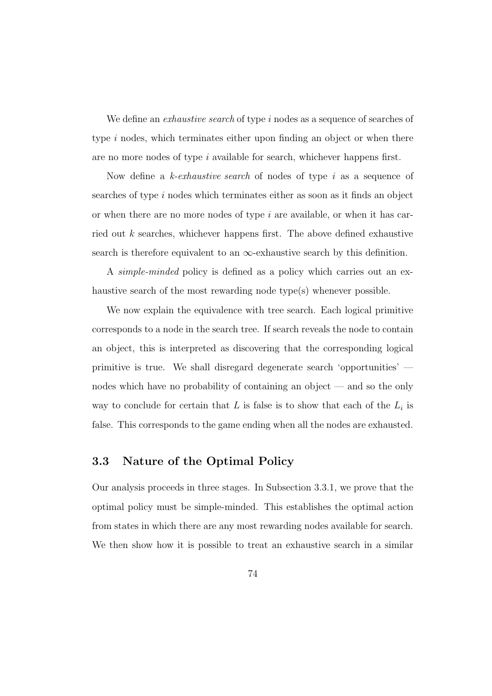We define an *exhaustive search* of type i nodes as a sequence of searches of type i nodes, which terminates either upon finding an object or when there are no more nodes of type i available for search, whichever happens first.

Now define a k-exhaustive search of nodes of type i as a sequence of searches of type i nodes which terminates either as soon as it finds an object or when there are no more nodes of type  $i$  are available, or when it has carried out k searches, whichever happens first. The above defined exhaustive search is therefore equivalent to an  $\infty$ -exhaustive search by this definition.

A simple-minded policy is defined as a policy which carries out an exhaustive search of the most rewarding node type(s) whenever possible.

We now explain the equivalence with tree search. Each logical primitive corresponds to a node in the search tree. If search reveals the node to contain an object, this is interpreted as discovering that the corresponding logical primitive is true. We shall disregard degenerate search 'opportunities' nodes which have no probability of containing an object — and so the only way to conclude for certain that  $L$  is false is to show that each of the  $L_i$  is false. This corresponds to the game ending when all the nodes are exhausted.

### **3.3 Nature of the Optimal Policy**

Our analysis proceeds in three stages. In Subsection 3.3.1, we prove that the optimal policy must be simple-minded. This establishes the optimal action from states in which there are any most rewarding nodes available for search. We then show how it is possible to treat an exhaustive search in a similar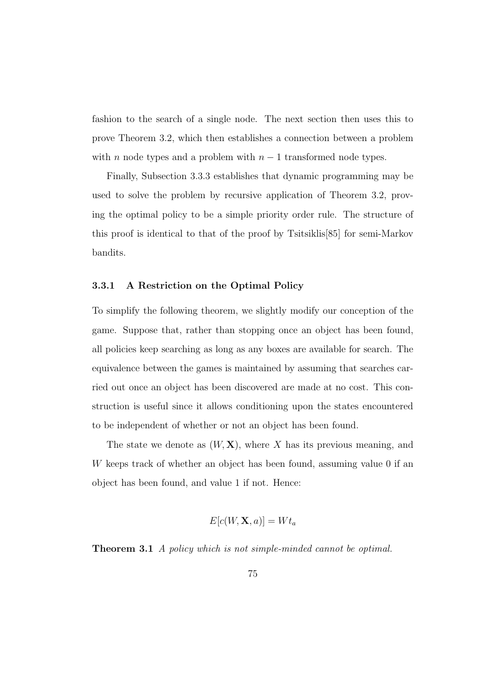fashion to the search of a single node. The next section then uses this to prove Theorem 3.2, which then establishes a connection between a problem with *n* node types and a problem with  $n - 1$  transformed node types.

Finally, Subsection 3.3.3 establishes that dynamic programming may be used to solve the problem by recursive application of Theorem 3.2, proving the optimal policy to be a simple priority order rule. The structure of this proof is identical to that of the proof by Tsitsiklis[85] for semi-Markov bandits.

#### **3.3.1 A Restriction on the Optimal Policy**

To simplify the following theorem, we slightly modify our conception of the game. Suppose that, rather than stopping once an object has been found, all policies keep searching as long as any boxes are available for search. The equivalence between the games is maintained by assuming that searches carried out once an object has been discovered are made at no cost. This construction is useful since it allows conditioning upon the states encountered to be independent of whether or not an object has been found.

The state we denote as  $(W, X)$ , where X has its previous meaning, and W keeps track of whether an object has been found, assuming value 0 if an object has been found, and value 1 if not. Hence:

$$
E[c(W, \mathbf{X}, a)] = W t_a
$$

**Theorem 3.1** A policy which is not simple-minded cannot be optimal.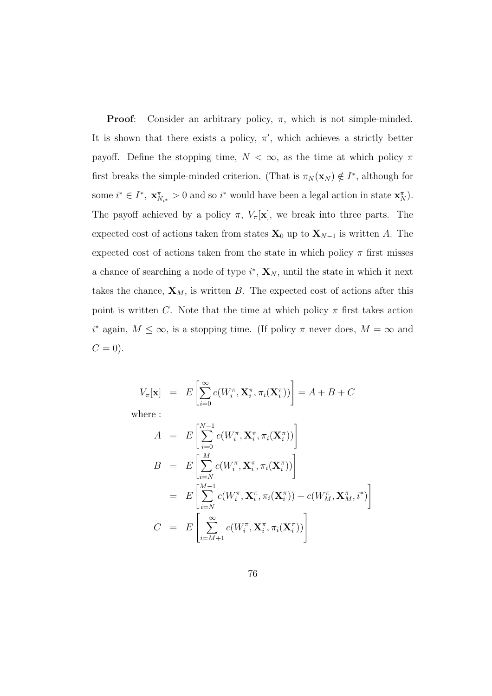**Proof:** Consider an arbitrary policy,  $\pi$ , which is not simple-minded. It is shown that there exists a policy,  $\pi'$ , which achieves a strictly better payoff. Define the stopping time,  $N < \infty$ , as the time at which policy  $\pi$ first breaks the simple-minded criterion. (That is  $\pi_N(\mathbf{x}_N) \notin I^*$ , although for some  $i^* \in I^*$ ,  $\mathbf{x}_{N_{i^*}}^{\pi} > 0$  and so  $i^*$  would have been a legal action in state  $\mathbf{x}_N^{\pi}$ . The payoff achieved by a policy  $\pi$ ,  $V_{\pi}[\mathbf{x}]$ , we break into three parts. The expected cost of actions taken from states  $\mathbf{X}_0$  up to  $\mathbf{X}_{N-1}$  is written A. The expected cost of actions taken from the state in which policy  $\pi$  first misses a chance of searching a node of type  $i^*$ ,  $\mathbf{X}_N$ , until the state in which it next takes the chance,  $\mathbf{X}_M$ , is written B. The expected cost of actions after this point is written C. Note that the time at which policy  $\pi$  first takes action  $i^*$  again,  $M \leq \infty$ , is a stopping time. (If policy  $\pi$  never does,  $M = \infty$  and  $C = 0$ ).

$$
V_{\pi}[\mathbf{x}] = E\left[\sum_{i=0}^{\infty} c(W_i^{\pi}, \mathbf{X}_i^{\pi}, \pi_i(\mathbf{X}_i^{\pi}))\right] = A + B + C
$$

where :

$$
A = E\left[\sum_{i=0}^{N-1} c(W_i^{\pi}, \mathbf{X}_i^{\pi}, \pi_i(\mathbf{X}_i^{\pi}))\right]
$$
  
\n
$$
B = E\left[\sum_{i=N}^{M} c(W_i^{\pi}, \mathbf{X}_i^{\pi}, \pi_i(\mathbf{X}_i^{\pi}))\right]
$$
  
\n
$$
= E\left[\sum_{i=N}^{M-1} c(W_i^{\pi}, \mathbf{X}_i^{\pi}, \pi_i(\mathbf{X}_i^{\pi})) + c(W_M^{\pi}, \mathbf{X}_M^{\pi}, i^*)\right]
$$
  
\n
$$
C = E\left[\sum_{i=M+1}^{\infty} c(W_i^{\pi}, \mathbf{X}_i^{\pi}, \pi_i(\mathbf{X}_i^{\pi}))\right]
$$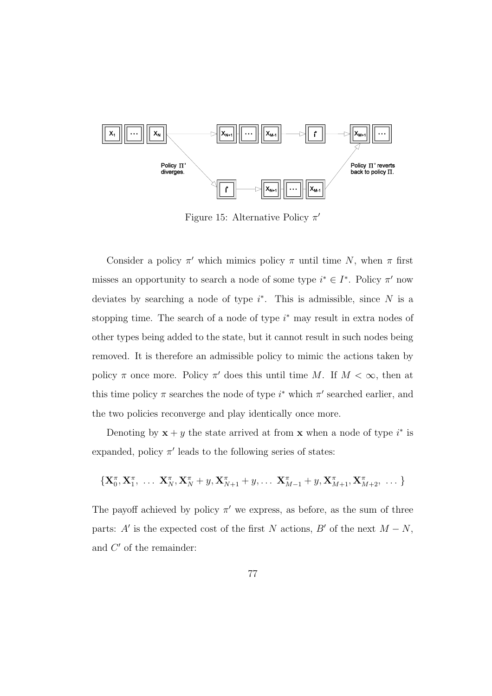

Figure 15: Alternative Policy  $\pi'$ 

Consider a policy  $\pi'$  which mimics policy  $\pi$  until time N, when  $\pi$  first misses an opportunity to search a node of some type  $i^* \in I^*$ . Policy  $\pi'$  now deviates by searching a node of type  $i^*$ . This is admissible, since N is a stopping time. The search of a node of type  $i^*$  may result in extra nodes of other types being added to the state, but it cannot result in such nodes being removed. It is therefore an admissible policy to mimic the actions taken by policy  $\pi$  once more. Policy  $\pi'$  does this until time M. If  $M < \infty$ , then at this time policy  $\pi$  searches the node of type  $i^*$  which  $\pi'$  searched earlier, and the two policies reconverge and play identically once more.

Denoting by  $\mathbf{x} + y$  the state arrived at from **x** when a node of type  $i^*$  is expanded, policy  $\pi'$  leads to the following series of states:

$$
\left\{ \mathbf{X}_{0}^{\pi}, \mathbf{X}_{1}^{\pi}, \ldots, \mathbf{X}_{N}^{\pi}, \mathbf{X}_{N}^{\pi}+y, \mathbf{X}_{N+1}^{\pi}+y, \ldots, \mathbf{X}_{M-1}^{\pi}+y, \mathbf{X}_{M+1}^{\pi}, \mathbf{X}_{M+2}^{\pi}, \ldots \right\}
$$

The payoff achieved by policy  $\pi'$  we express, as before, as the sum of three parts: A' is the expected cost of the first N actions, B' of the next  $M - N$ , and  $C'$  of the remainder: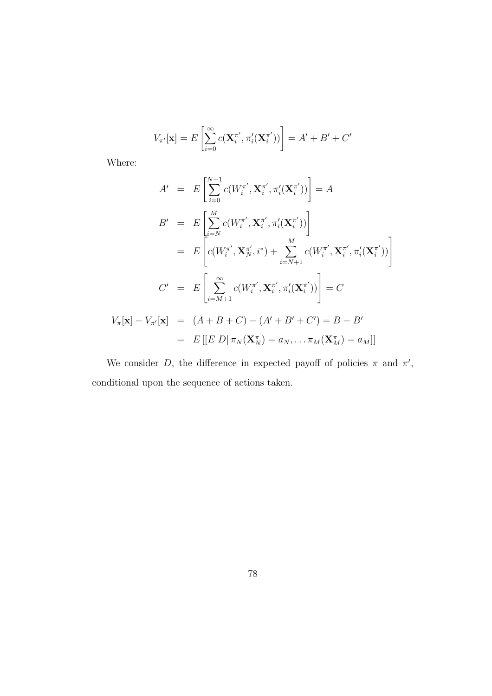$$
V_{\pi'}[\mathbf{x}] = E\left[\sum_{i=0}^{\infty} c(\mathbf{X}_i^{\pi'}, \pi'_i(\mathbf{X}_i^{\pi'}))\right] = A' + B' + C'
$$

Where:

$$
A' = E\left[\sum_{i=0}^{N-1} c(W_i^{\pi'}, \mathbf{X}_i^{\pi'}, \pi_i'(\mathbf{X}_i^{\pi'}))\right] = A
$$
  
\n
$$
B' = E\left[\sum_{i=N}^{M} c(W_i^{\pi'}, \mathbf{X}_i^{\pi'}, \pi_i'(\mathbf{X}_i^{\pi'}))\right]
$$
  
\n
$$
= E\left[c(W_i^{\pi'}, \mathbf{X}_{N}^{\pi'}, i^*) + \sum_{i=N+1}^{M} c(W_i^{\pi'}, \mathbf{X}_i^{\pi'}, \pi_i'(\mathbf{X}_i^{\pi'}))\right]
$$
  
\n
$$
C' = E\left[\sum_{i=M+1}^{\infty} c(W_i^{\pi'}, \mathbf{X}_i^{\pi'}, \pi_i'(\mathbf{X}_i^{\pi'}))\right] = C
$$
  
\n
$$
V_{\pi}[\mathbf{x}] - V_{\pi'}[\mathbf{x}] = (A + B + C) - (A' + B' + C') = B - B'
$$
  
\n
$$
= E\left[[E D | \pi_N(\mathbf{X}_N^{\pi})] = a_N, \dots, \pi_M(\mathbf{X}_M^{\pi}) = a_M\right]]
$$

We consider D, the difference in expected payoff of policies  $\pi$  and  $\pi'$ , conditional upon the sequence of actions taken.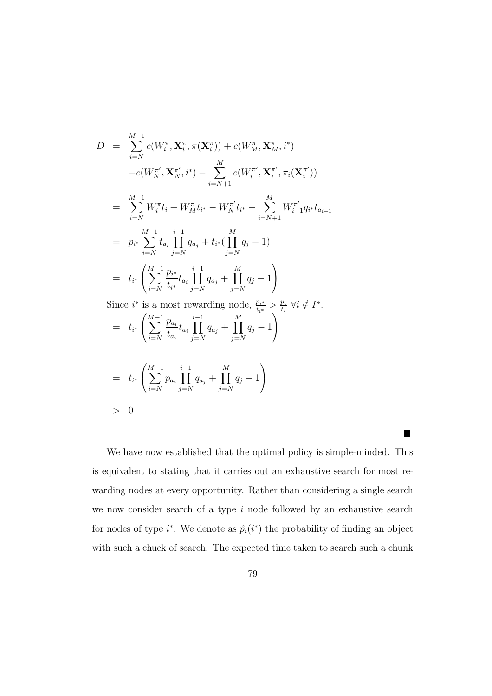$$
D = \sum_{i=N}^{M-1} c(W_i^{\pi}, \mathbf{X}_i^{\pi}, \pi(\mathbf{X}_i^{\pi})) + c(W_M^{\pi}, \mathbf{X}_M^{\pi}, i^*)
$$
  
\n
$$
-c(W_N^{\pi'}, \mathbf{X}_N^{\pi'}, i^*) - \sum_{i=N+1}^{M} c(W_i^{\pi'}, \mathbf{X}_i^{\pi'}, \pi_i(\mathbf{X}_i^{\pi'}))
$$
  
\n
$$
= \sum_{i=N}^{M-1} W_i^{\pi} t_i + W_M^{\pi} t_{i^*} - W_N^{\pi'} t_{i^*} - \sum_{i=N+1}^{M} W_{i-1}^{\pi'} q_{i^*} t_{a_{i-1}}
$$
  
\n
$$
= p_{i^*} \sum_{i=N}^{M-1} t_{a_i} \prod_{j=N}^{i-1} q_{a_j} + t_{i^*} (\prod_{j=N}^{M} q_j - 1)
$$
  
\n
$$
= t_{i^*} \left( \sum_{i=N}^{M-1} \frac{p_{i^*}}{t_{i^*}} t_{a_i} \prod_{j=N}^{i-1} q_{a_j} + \prod_{j=N}^{M} q_j - 1 \right)
$$
  
\nSince  $i^*$  is a most rewarding node,  $\frac{p_{i^*}}{z} > \frac{p_i}{z}$   $\forall i \notin I^*.$ 

Since  $i^*$  is a most rewarding node,  $\frac{p_{i^*}}{t_{i^*}} > \frac{p_i}{t_i} \; \forall i \notin I^*$ .  $=$   $t_{i^*}$  $\sqrt{ }$  $\mathcal{L}$  $\sum_{ }^{M-1}$  $i = N$ pa*i* ta*i*  $t_{a_i}$ <sub>i−1</sub><br>Π  $j=N$  $q_{a_j} + \prod$ M  $j=N$  $q_j - 1$  $\setminus$  $\overline{1}$ M  $\setminus$ 

$$
= t_{i^*} \left( \sum_{i=N}^{M-1} p_{a_i} \prod_{j=N}^{i-1} q_{a_j} + \prod_{j=N}^{M} q_j - 1 \right)
$$
  
> 0

We have now established that the optimal policy is simple-minded. This is equivalent to stating that it carries out an exhaustive search for most rewarding nodes at every opportunity. Rather than considering a single search we now consider search of a type  $i$  node followed by an exhaustive search for nodes of type  $i^*$ . We denote as  $\hat{p}_i(i^*)$  the probability of finding an object with such a chuck of search. The expected time taken to search such a chunk

 $\mathcal{L}$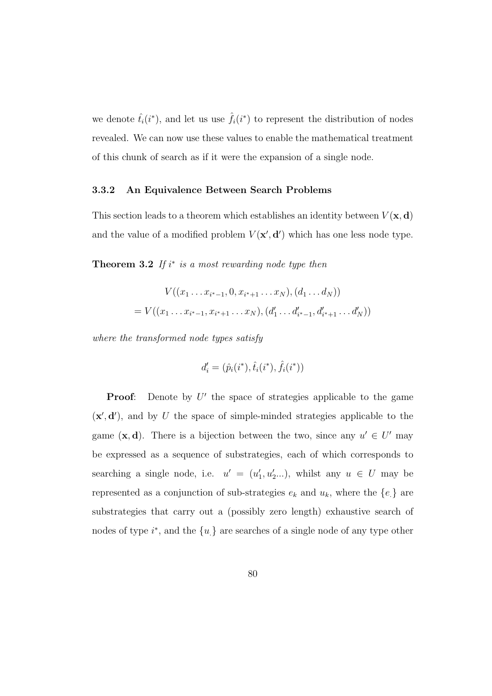we denote  $\hat{t}_i(i^*)$ , and let us use  $\hat{f}_i(i^*)$  to represent the distribution of nodes revealed. We can now use these values to enable the mathematical treatment of this chunk of search as if it were the expansion of a single node.

#### **3.3.2 An Equivalence Between Search Problems**

This section leads to a theorem which establishes an identity between  $V(\mathbf{x}, \mathbf{d})$ and the value of a modified problem  $V(\mathbf{x}', \mathbf{d}')$  which has one less node type.

**Theorem 3.2** If  $i^*$  is a most rewarding node type then

$$
V((x_1 \ldots x_{i^*-1}, 0, x_{i^*+1} \ldots x_N), (d_1 \ldots d_N))
$$
  
=  $V((x_1 \ldots x_{i^*-1}, x_{i^*+1} \ldots x_N), (d'_1 \ldots d'_{i^*-1}, d'_{i^*+1} \ldots d'_N))$ 

where the transformed node types satisfy

$$
d'_{i} = (\hat{p}_{i}(i^{*}), \hat{t}_{i}(i^{*}), \hat{f}_{i}(i^{*}))
$$

**Proof:** Denote by  $U'$  the space of strategies applicable to the game  $(\mathbf{x}', \mathbf{d}')$ , and by U the space of simple-minded strategies applicable to the game  $(\mathbf{x}, \mathbf{d})$ . There is a bijection between the two, since any  $u' \in U'$  may be expressed as a sequence of substrategies, each of which corresponds to searching a single node, i.e.  $u' = (u'_1, u'_2...)$ , whilst any  $u \in U$  may be represented as a conjunction of sub-strategies  $e_k$  and  $u_k$ , where the  $\{e_i\}$  are substrategies that carry out a (possibly zero length) exhaustive search of nodes of type  $i^*$ , and the  $\{u_i\}$  are searches of a single node of any type other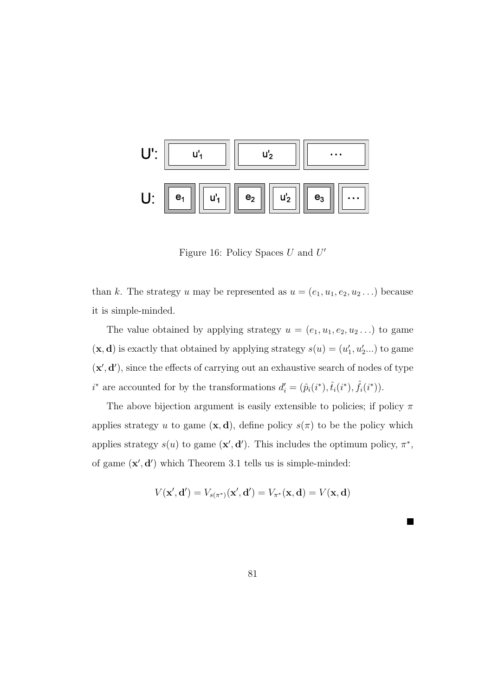

Figure 16: Policy Spaces  $U$  and  $U'$ 

than k. The strategy u may be represented as  $u = (e_1, u_1, e_2, u_2, ...)$  because it is simple-minded.

The value obtained by applying strategy  $u = (e_1, u_1, e_2, u_2, ...)$  to game  $(\mathbf{x}, \mathbf{d})$  is exactly that obtained by applying strategy  $s(u) = (u'_1, u'_2...)$  to game  $(x', d')$ , since the effects of carrying out an exhaustive search of nodes of type  $i^*$  are accounted for by the transformations  $d_i' = (\hat{p}_i(i^*), \hat{t}_i(i^*), \hat{f}_i(i^*))$ .

The above bijection argument is easily extensible to policies; if policy  $\pi$ applies strategy u to game  $(\mathbf{x}, \mathbf{d})$ , define policy  $s(\pi)$  to be the policy which applies strategy  $s(u)$  to game  $(\mathbf{x}', \mathbf{d}')$ . This includes the optimum policy,  $\pi^*$ , of game  $(\mathbf{x}', \mathbf{d}')$  which Theorem 3.1 tells us is simple-minded:

$$
V(\mathbf{x}', \mathbf{d}') = V_{s(\pi^*)}(\mathbf{x}', \mathbf{d}') = V_{\pi^*}(\mathbf{x}, \mathbf{d}) = V(\mathbf{x}, \mathbf{d})
$$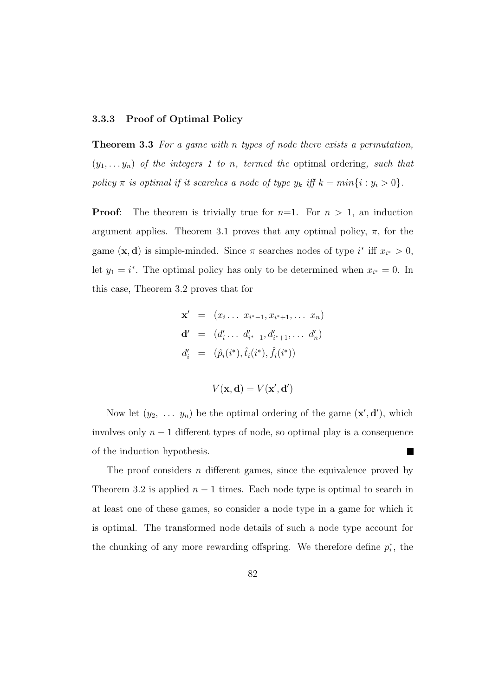#### **3.3.3 Proof of Optimal Policy**

**Theorem 3.3** For a game with n types of node there exists a permutation,  $(y_1,...,y_n)$  of the integers 1 to n, termed the optimal ordering, such that policy  $\pi$  is optimal if it searches a node of type  $y_k$  iff  $k = min\{i : y_i > 0\}$ .

**Proof:** The theorem is trivially true for  $n=1$ . For  $n > 1$ , an induction argument applies. Theorem 3.1 proves that any optimal policy,  $\pi$ , for the game  $(\mathbf{x}, \mathbf{d})$  is simple-minded. Since  $\pi$  searches nodes of type i<sup>\*</sup> iff  $x_{i^*} > 0$ , let  $y_1 = i^*$ . The optimal policy has only to be determined when  $x_{i^*} = 0$ . In this case, Theorem 3.2 proves that for

$$
\mathbf{x}' = (x_i \dots x_{i^*-1}, x_{i^*+1}, \dots x_n)
$$
  
\n
$$
\mathbf{d}' = (d'_i \dots d'_{i^*-1}, d'_{i^*+1}, \dots d'_n)
$$
  
\n
$$
d'_i = (\hat{p}_i(i^*), \hat{t}_i(i^*), \hat{f}_i(i^*))
$$

$$
V(\mathbf{x}, \mathbf{d}) = V(\mathbf{x}', \mathbf{d}')
$$

Now let  $(y_2, \ldots, y_n)$  be the optimal ordering of the game  $(\mathbf{x}', \mathbf{d}')$ , which involves only  $n-1$  different types of node, so optimal play is a consequence of the induction hypothesis. **Contract** 

The proof considers  $n$  different games, since the equivalence proved by Theorem 3.2 is applied  $n-1$  times. Each node type is optimal to search in at least one of these games, so consider a node type in a game for which it is optimal. The transformed node details of such a node type account for the chunking of any more rewarding offspring. We therefore define  $p_i^*$ , the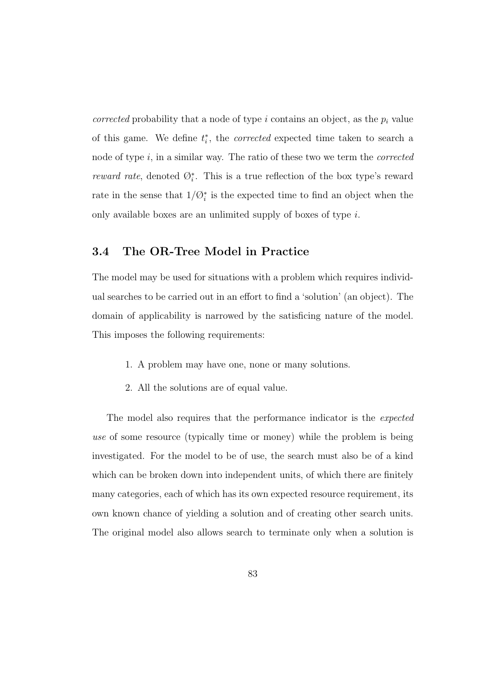corrected probability that a node of type  $i$  contains an object, as the  $p_i$  value of this game. We define  $t_i^*$ , the *corrected* expected time taken to search a node of type  $i$ , in a similar way. The ratio of these two we term the *corrected reward rate*, denoted  $\mathcal{O}_i^*$ . This is a true reflection of the box type's reward rate in the sense that  $1/\mathcal{O}_i^*$  is the expected time to find an object when the only available boxes are an unlimited supply of boxes of type i.

# **3.4 The OR-Tree Model in Practice**

The model may be used for situations with a problem which requires individual searches to be carried out in an effort to find a 'solution' (an object). The domain of applicability is narrowed by the satisficing nature of the model. This imposes the following requirements:

- 1. A problem may have one, none or many solutions.
- 2. All the solutions are of equal value.

The model also requires that the performance indicator is the *expected* use of some resource (typically time or money) while the problem is being investigated. For the model to be of use, the search must also be of a kind which can be broken down into independent units, of which there are finitely many categories, each of which has its own expected resource requirement, its own known chance of yielding a solution and of creating other search units. The original model also allows search to terminate only when a solution is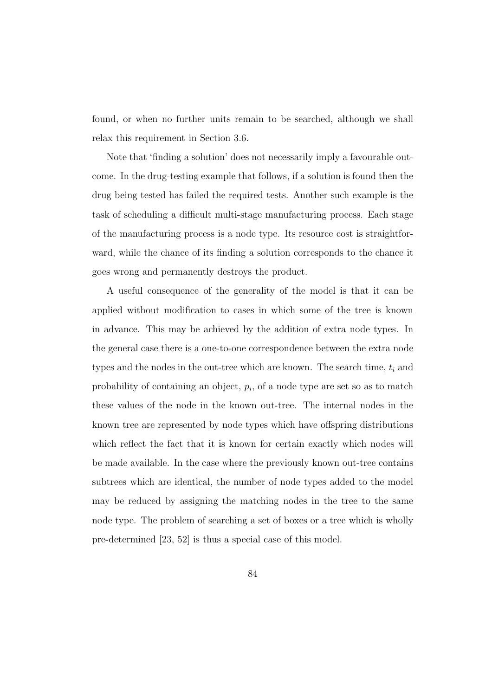found, or when no further units remain to be searched, although we shall relax this requirement in Section 3.6.

Note that 'finding a solution' does not necessarily imply a favourable outcome. In the drug-testing example that follows, if a solution is found then the drug being tested has failed the required tests. Another such example is the task of scheduling a difficult multi-stage manufacturing process. Each stage of the manufacturing process is a node type. Its resource cost is straightforward, while the chance of its finding a solution corresponds to the chance it goes wrong and permanently destroys the product.

A useful consequence of the generality of the model is that it can be applied without modification to cases in which some of the tree is known in advance. This may be achieved by the addition of extra node types. In the general case there is a one-to-one correspondence between the extra node types and the nodes in the out-tree which are known. The search time,  $t_i$  and probability of containing an object,  $p_i$ , of a node type are set so as to match these values of the node in the known out-tree. The internal nodes in the known tree are represented by node types which have offspring distributions which reflect the fact that it is known for certain exactly which nodes will be made available. In the case where the previously known out-tree contains subtrees which are identical, the number of node types added to the model may be reduced by assigning the matching nodes in the tree to the same node type. The problem of searching a set of boxes or a tree which is wholly pre-determined [23, 52] is thus a special case of this model.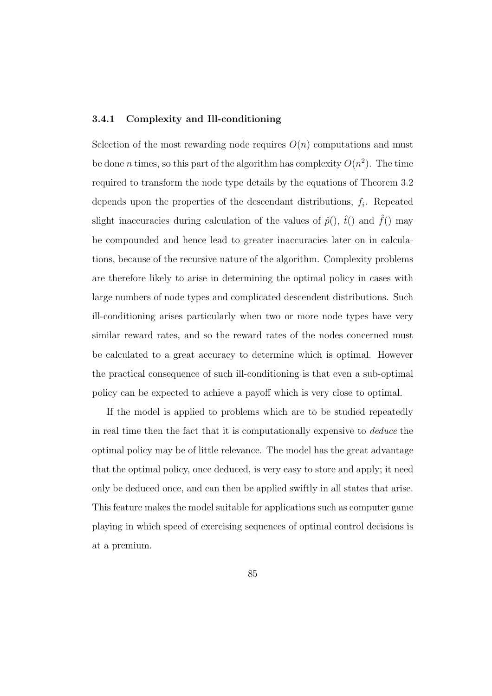#### **3.4.1 Complexity and Ill-conditioning**

Selection of the most rewarding node requires  $O(n)$  computations and must be done *n* times, so this part of the algorithm has complexity  $O(n^2)$ . The time required to transform the node type details by the equations of Theorem 3.2 depends upon the properties of the descendant distributions,  $f_i$ . Repeated slight inaccuracies during calculation of the values of  $\hat{p}$ (),  $\hat{t}$ () and  $\hat{f}$ () may be compounded and hence lead to greater inaccuracies later on in calculations, because of the recursive nature of the algorithm. Complexity problems are therefore likely to arise in determining the optimal policy in cases with large numbers of node types and complicated descendent distributions. Such ill-conditioning arises particularly when two or more node types have very similar reward rates, and so the reward rates of the nodes concerned must be calculated to a great accuracy to determine which is optimal. However the practical consequence of such ill-conditioning is that even a sub-optimal policy can be expected to achieve a payoff which is very close to optimal.

If the model is applied to problems which are to be studied repeatedly in real time then the fact that it is computationally expensive to deduce the optimal policy may be of little relevance. The model has the great advantage that the optimal policy, once deduced, is very easy to store and apply; it need only be deduced once, and can then be applied swiftly in all states that arise. This feature makes the model suitable for applications such as computer game playing in which speed of exercising sequences of optimal control decisions is at a premium.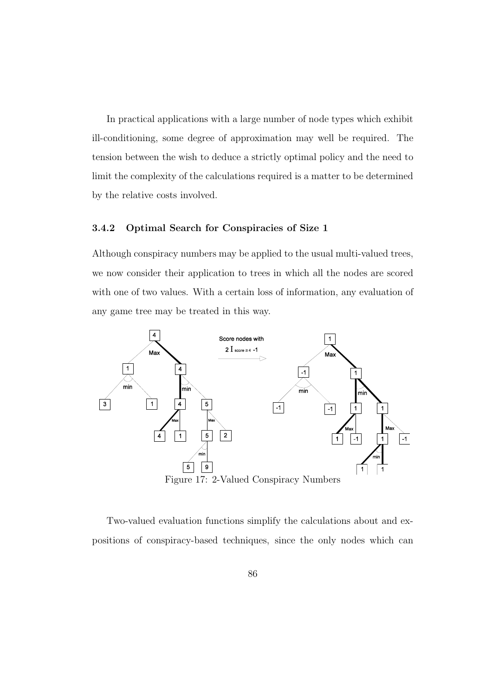In practical applications with a large number of node types which exhibit ill-conditioning, some degree of approximation may well be required. The tension between the wish to deduce a strictly optimal policy and the need to limit the complexity of the calculations required is a matter to be determined by the relative costs involved.

#### **3.4.2 Optimal Search for Conspiracies of Size 1**

Although conspiracy numbers may be applied to the usual multi-valued trees, we now consider their application to trees in which all the nodes are scored with one of two values. With a certain loss of information, any evaluation of any game tree may be treated in this way.



Two-valued evaluation functions simplify the calculations about and expositions of conspiracy-based techniques, since the only nodes which can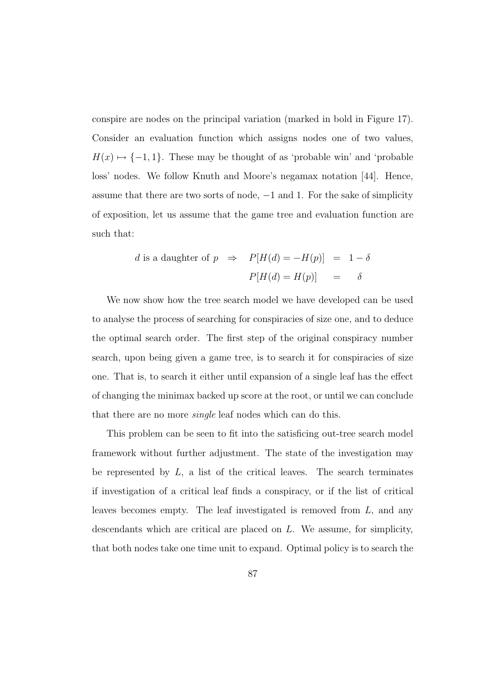conspire are nodes on the principal variation (marked in bold in Figure 17). Consider an evaluation function which assigns nodes one of two values,  $H(x) \mapsto \{-1, 1\}$ . These may be thought of as 'probable win' and 'probable loss' nodes. We follow Knuth and Moore's negamax notation [44]. Hence, assume that there are two sorts of node, −1 and 1. For the sake of simplicity of exposition, let us assume that the game tree and evaluation function are such that:

*d* is a daughter of 
$$
p \Rightarrow P[H(d) = -H(p)] = 1 - \delta
$$
  

$$
P[H(d) = H(p)] = \delta
$$

We now show how the tree search model we have developed can be used to analyse the process of searching for conspiracies of size one, and to deduce the optimal search order. The first step of the original conspiracy number search, upon being given a game tree, is to search it for conspiracies of size one. That is, to search it either until expansion of a single leaf has the effect of changing the minimax backed up score at the root, or until we can conclude that there are no more single leaf nodes which can do this.

This problem can be seen to fit into the satisficing out-tree search model framework without further adjustment. The state of the investigation may be represented by  $L$ , a list of the critical leaves. The search terminates if investigation of a critical leaf finds a conspiracy, or if the list of critical leaves becomes empty. The leaf investigated is removed from L, and any descendants which are critical are placed on L. We assume, for simplicity, that both nodes take one time unit to expand. Optimal policy is to search the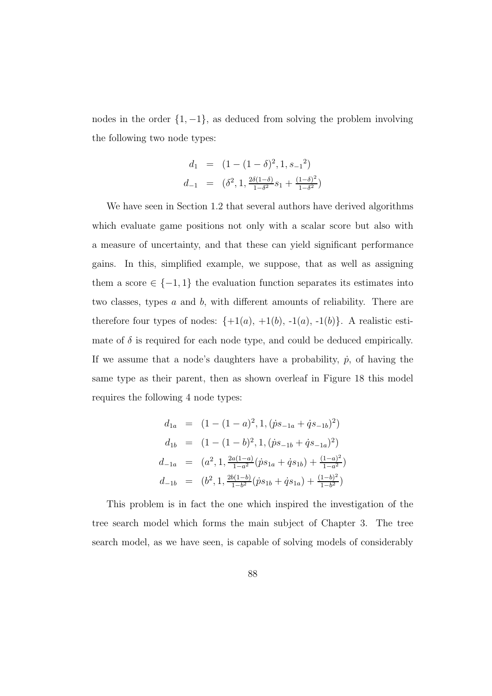nodes in the order  $\{1, -1\}$ , as deduced from solving the problem involving the following two node types:

$$
d_1 = (1 - (1 - \delta)^2, 1, s_{-1}^2)
$$
  

$$
d_{-1} = (\delta^2, 1, \frac{2\delta(1 - \delta)}{1 - \delta^2} s_1 + \frac{(1 - \delta)^2}{1 - \delta^2})
$$

We have seen in Section 1.2 that several authors have derived algorithms which evaluate game positions not only with a scalar score but also with a measure of uncertainty, and that these can yield significant performance gains. In this, simplified example, we suppose, that as well as assigning them a score  $\in \{-1,1\}$  the evaluation function separates its estimates into two classes, types  $a$  and  $b$ , with different amounts of reliability. There are therefore four types of nodes:  $\{+1(a), +1(b), -1(a), -1(b)\}$ . A realistic estimate of  $\delta$  is required for each node type, and could be deduced empirically. If we assume that a node's daughters have a probability,  $\dot{p}$ , of having the same type as their parent, then as shown overleaf in Figure 18 this model requires the following 4 node types:

$$
d_{1a} = (1 - (1 - a)^2, 1, (ps_{-1a} + \dot{q}s_{-1b})^2)
$$
  
\n
$$
d_{1b} = (1 - (1 - b)^2, 1, (ps_{-1b} + \dot{q}s_{-1a})^2)
$$
  
\n
$$
d_{-1a} = (a^2, 1, \frac{2a(1-a)}{1-a^2}(ps_{1a} + \dot{q}s_{1b}) + \frac{(1-a)^2}{1-a^2})
$$
  
\n
$$
d_{-1b} = (b^2, 1, \frac{2b(1-b)}{1-b^2}(ps_{1b} + \dot{q}s_{1a}) + \frac{(1-b)^2}{1-b^2})
$$

This problem is in fact the one which inspired the investigation of the tree search model which forms the main subject of Chapter 3. The tree search model, as we have seen, is capable of solving models of considerably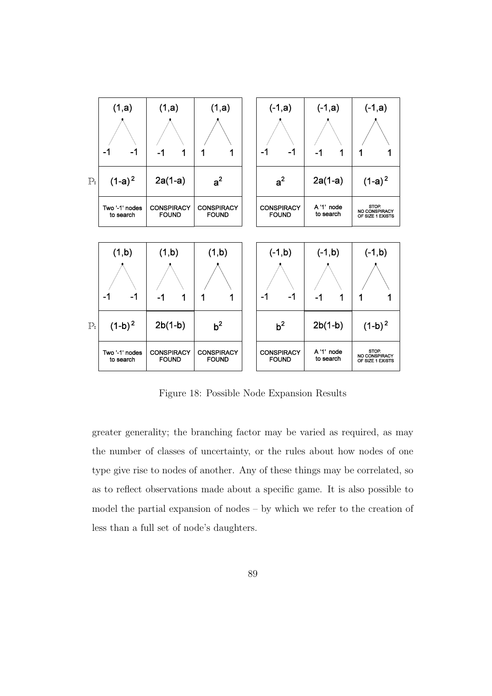

Figure 18: Possible Node Expansion Results

greater generality; the branching factor may be varied as required, as may the number of classes of uncertainty, or the rules about how nodes of one type give rise to nodes of another. Any of these things may be correlated, so as to reflect observations made about a specific game. It is also possible to model the partial expansion of nodes – by which we refer to the creation of less than a full set of node's daughters.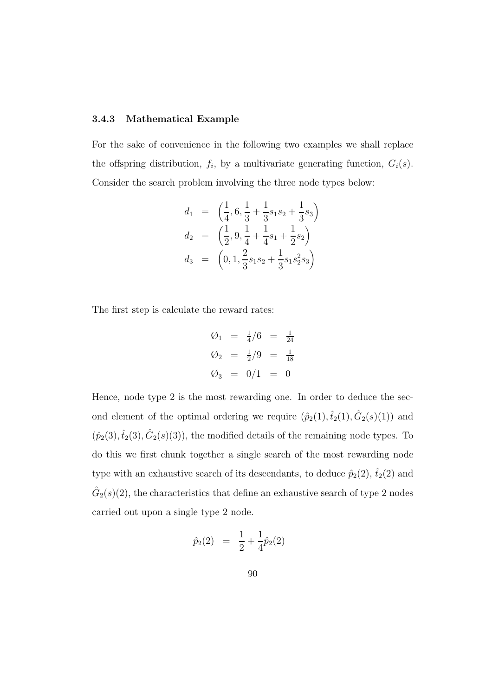#### **3.4.3 Mathematical Example**

For the sake of convenience in the following two examples we shall replace the offspring distribution,  $f_i$ , by a multivariate generating function,  $G_i(s)$ . Consider the search problem involving the three node types below:

$$
d_1 = \left(\frac{1}{4}, 6, \frac{1}{3} + \frac{1}{3}s_1s_2 + \frac{1}{3}s_3\right)
$$
  
\n
$$
d_2 = \left(\frac{1}{2}, 9, \frac{1}{4} + \frac{1}{4}s_1 + \frac{1}{2}s_2\right)
$$
  
\n
$$
d_3 = \left(0, 1, \frac{2}{3}s_1s_2 + \frac{1}{3}s_1s_2s_3\right)
$$

The first step is calculate the reward rates:

$$
\begin{array}{rcl}\n\emptyset_1 & = & \frac{1}{4}/6 & = & \frac{1}{24} \\
\emptyset_2 & = & \frac{1}{2}/9 & = & \frac{1}{18} \\
\emptyset_3 & = & 0/1 & = & 0\n\end{array}
$$

Hence, node type 2 is the most rewarding one. In order to deduce the second element of the optimal ordering we require  $(\hat{p}_2(1), \hat{t}_2(1), \hat{G}_2(s)(1))$  and  $(\hat{p}_2(3), \hat{t}_2(3), \hat{G}_2(s)(3))$ , the modified details of the remaining node types. To do this we first chunk together a single search of the most rewarding node type with an exhaustive search of its descendants, to deduce  $\hat{p}_2(2)$ ,  $\hat{t}_2(2)$  and  $\hat{G}_2(s)(2)$ , the characteristics that define an exhaustive search of type 2 nodes carried out upon a single type 2 node.

$$
\hat{p}_2(2) = \frac{1}{2} + \frac{1}{4}\hat{p}_2(2)
$$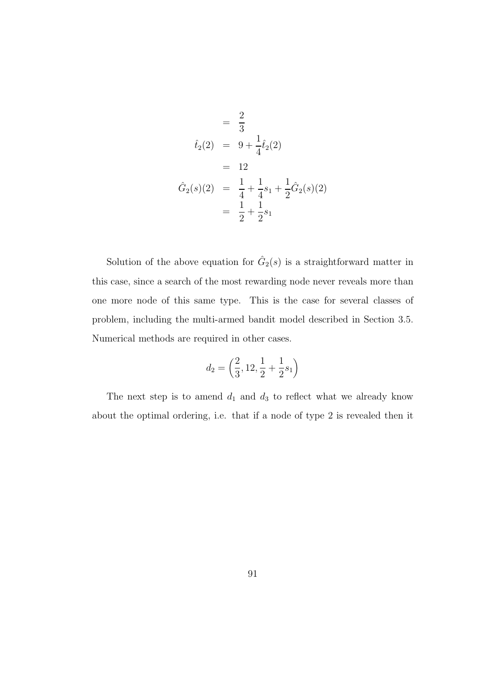$$
= \frac{2}{3}
$$
  
\n
$$
\hat{t}_2(2) = 9 + \frac{1}{4}\hat{t}_2(2)
$$
  
\n
$$
= 12
$$
  
\n
$$
\hat{G}_2(s)(2) = \frac{1}{4} + \frac{1}{4}s_1 + \frac{1}{2}\hat{G}_2(s)(2)
$$
  
\n
$$
= \frac{1}{2} + \frac{1}{2}s_1
$$

Solution of the above equation for  $\hat{G}_2(s)$  is a straightforward matter in this case, since a search of the most rewarding node never reveals more than one more node of this same type. This is the case for several classes of problem, including the multi-armed bandit model described in Section 3.5. Numerical methods are required in other cases.

$$
d_2=\left(\frac{2}{3},12,\frac{1}{2}+\frac{1}{2}s_1\right)
$$

The next step is to amend  $d_1$  and  $d_3$  to reflect what we already know about the optimal ordering, i.e. that if a node of type 2 is revealed then it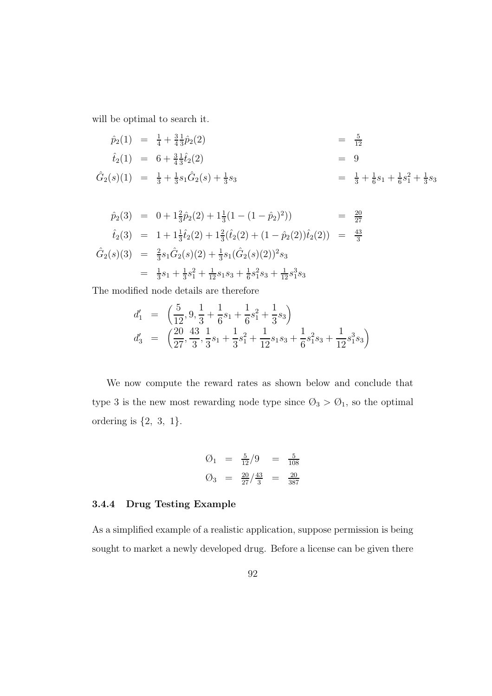will be optimal to search it.

$$
\hat{p}_2(1) = \frac{1}{4} + \frac{3}{4} \frac{1}{3} \hat{p}_2(2) = \frac{5}{12}
$$
\n
$$
\hat{t}_2(1) = 6 + \frac{3}{4} \frac{1}{3} \hat{t}_2(2) = 9
$$
\n
$$
\hat{G}_2(s)(1) = \frac{1}{3} + \frac{1}{3} s_1 \hat{G}_2(s) + \frac{1}{3} s_3 = \frac{1}{3} + \frac{1}{6} s_1 + \frac{1}{6} s_1^2 + \frac{1}{3} s_3
$$

$$
\hat{p}_2(3) = 0 + 1\frac{2}{3}\hat{p}_2(2) + 1\frac{1}{3}(1 - (1 - \hat{p}_2)^2) = \frac{20}{27}
$$
\n
$$
\hat{t}_2(3) = 1 + 1\frac{1}{3}\hat{t}_2(2) + 1\frac{2}{3}(\hat{t}_2(2) + (1 - \hat{p}_2(2))\hat{t}_2(2)) = \frac{43}{3}
$$
\n
$$
\hat{G}_2(s)(3) = \frac{2}{3}s_1\hat{G}_2(s)(2) + \frac{1}{3}s_1(\hat{G}_2(s)(2))^2s_3
$$
\n
$$
= \frac{1}{3}s_1 + \frac{1}{3}s_1^2 + \frac{1}{12}s_1s_3 + \frac{1}{6}s_1^2s_3 + \frac{1}{12}s_1^3s_3
$$

The modified node details are therefore

$$
d'_1 = \left(\frac{5}{12}, 9, \frac{1}{3} + \frac{1}{6}s_1 + \frac{1}{6}s_1^2 + \frac{1}{3}s_3\right)
$$
  

$$
d'_3 = \left(\frac{20}{27}, \frac{43}{3}, \frac{1}{3}s_1 + \frac{1}{3}s_1^2 + \frac{1}{12}s_1s_3 + \frac{1}{6}s_1^2s_3 + \frac{1}{12}s_1^3s_3\right)
$$

We now compute the reward rates as shown below and conclude that type 3 is the new most rewarding node type since  $\mathcal{O}_3$  >  $\mathcal{O}_1$ , so the optimal ordering is  $\{2, 3, 1\}$ .

$$
\begin{array}{rcl}\n\mathcal{O}_1 &=& \frac{5}{12}/9 &=& \frac{5}{108} \\
\mathcal{O}_3 &=& \frac{20}{27}/\frac{43}{3} &=& \frac{20}{387}\n\end{array}
$$

#### **3.4.4 Drug Testing Example**

As a simplified example of a realistic application, suppose permission is being sought to market a newly developed drug. Before a license can be given there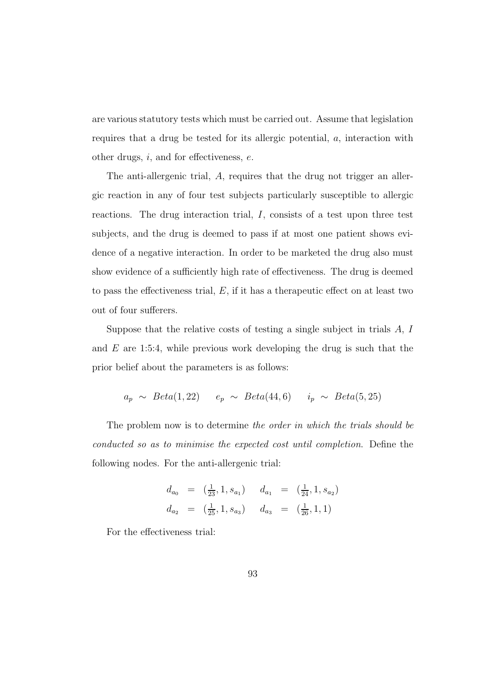are various statutory tests which must be carried out. Assume that legislation requires that a drug be tested for its allergic potential, a, interaction with other drugs,  $i$ , and for effectiveness,  $e$ .

The anti-allergenic trial, A, requires that the drug not trigger an allergic reaction in any of four test subjects particularly susceptible to allergic reactions. The drug interaction trial,  $I$ , consists of a test upon three test subjects, and the drug is deemed to pass if at most one patient shows evidence of a negative interaction. In order to be marketed the drug also must show evidence of a sufficiently high rate of effectiveness. The drug is deemed to pass the effectiveness trial,  $E$ , if it has a therapeutic effect on at least two out of four sufferers.

Suppose that the relative costs of testing a single subject in trials  $A, I$ and  $E$  are 1:5:4, while previous work developing the drug is such that the prior belief about the parameters is as follows:

$$
a_p \sim Beta(1,22)
$$
  $e_p \sim Beta(44,6)$   $i_p \sim Beta(5,25)$ 

The problem now is to determine the order in which the trials should be conducted so as to minimise the expected cost until completion. Define the following nodes. For the anti-allergenic trial:

$$
d_{a_0} = \left(\frac{1}{23}, 1, s_{a_1}\right) \quad d_{a_1} = \left(\frac{1}{24}, 1, s_{a_2}\right)
$$
  

$$
d_{a_2} = \left(\frac{1}{25}, 1, s_{a_3}\right) \quad d_{a_3} = \left(\frac{1}{26}, 1, 1\right)
$$

For the effectiveness trial: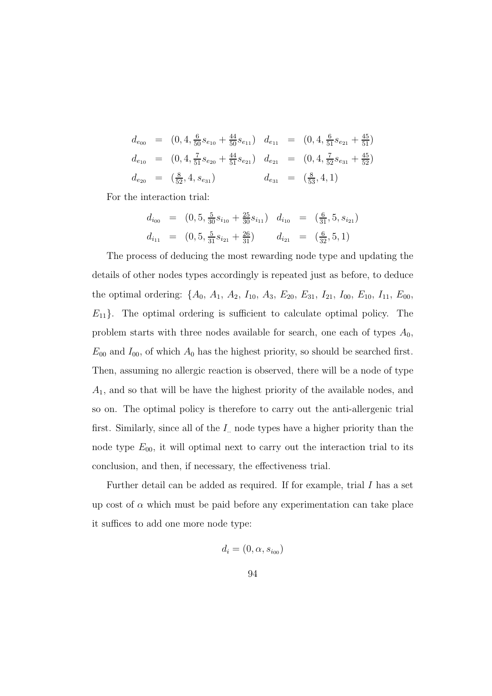$$
d_{e_{00}} = (0, 4, \frac{6}{50}s_{e_{10}} + \frac{44}{50}s_{e_{11}}) d_{e_{11}} = (0, 4, \frac{6}{51}s_{e_{21}} + \frac{45}{51})
$$
  
\n
$$
d_{e_{10}} = (0, 4, \frac{7}{51}s_{e_{20}} + \frac{44}{51}s_{e_{21}}) d_{e_{21}} = (0, 4, \frac{7}{52}s_{e_{31}} + \frac{45}{52})
$$
  
\n
$$
d_{e_{20}} = (\frac{8}{52}, 4, s_{e_{31}}) d_{e_{31}} = (\frac{8}{53}, 4, 1)
$$

For the interaction trial:

$$
d_{i_{00}} = (0, 5, \frac{5}{30}s_{i_{10}} + \frac{25}{30}s_{i_{11}}) d_{i_{10}} = (\frac{6}{31}, 5, s_{i_{21}})
$$
  

$$
d_{i_{11}} = (0, 5, \frac{5}{31}s_{i_{21}} + \frac{26}{31}) d_{i_{21}} = (\frac{6}{32}, 5, 1)
$$

The process of deducing the most rewarding node type and updating the details of other nodes types accordingly is repeated just as before, to deduce the optimal ordering:  $\{A_0, A_1, A_2, I_{10}, A_3, E_{20}, E_{31}, I_{21}, I_{00}, E_{10}, I_{11}, E_{00},$  $E_{11}$ . The optimal ordering is sufficient to calculate optimal policy. The problem starts with three nodes available for search, one each of types  $A_0$ ,  $E_{00}$  and  $I_{00}$ , of which  $A_0$  has the highest priority, so should be searched first. Then, assuming no allergic reaction is observed, there will be a node of type  $A_1$ , and so that will be have the highest priority of the available nodes, and so on. The optimal policy is therefore to carry out the anti-allergenic trial first. Similarly, since all of the  $I_{\cdot}$  node types have a higher priority than the node type  $E_{00}$ , it will optimal next to carry out the interaction trial to its conclusion, and then, if necessary, the effectiveness trial.

Further detail can be added as required. If for example, trial I has a set up cost of  $\alpha$  which must be paid before any experimentation can take place it suffices to add one more node type:

$$
d_i = (0, \alpha, s_{i_{00}})
$$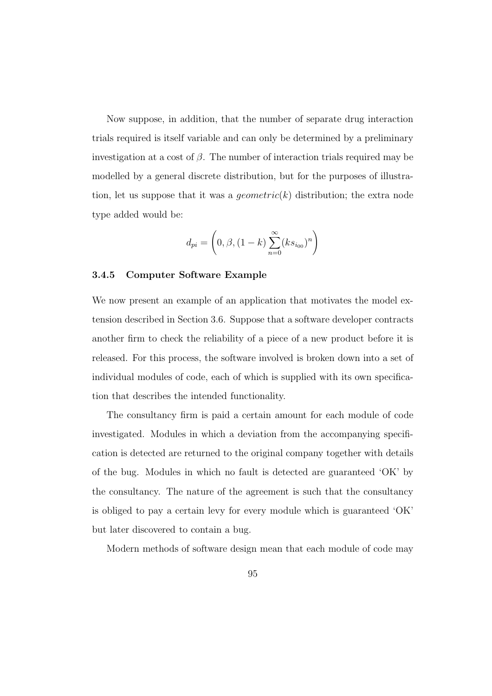Now suppose, in addition, that the number of separate drug interaction trials required is itself variable and can only be determined by a preliminary investigation at a cost of  $\beta$ . The number of interaction trials required may be modelled by a general discrete distribution, but for the purposes of illustration, let us suppose that it was a *geometric*( $k$ ) distribution; the extra node type added would be:

$$
d_{pi} = \left(0, \beta, (1 - k) \sum_{n=0}^{\infty} (ks_{i_{00}})^n \right)
$$

#### **3.4.5 Computer Software Example**

We now present an example of an application that motivates the model extension described in Section 3.6. Suppose that a software developer contracts another firm to check the reliability of a piece of a new product before it is released. For this process, the software involved is broken down into a set of individual modules of code, each of which is supplied with its own specification that describes the intended functionality.

The consultancy firm is paid a certain amount for each module of code investigated. Modules in which a deviation from the accompanying specification is detected are returned to the original company together with details of the bug. Modules in which no fault is detected are guaranteed 'OK' by the consultancy. The nature of the agreement is such that the consultancy is obliged to pay a certain levy for every module which is guaranteed 'OK' but later discovered to contain a bug.

Modern methods of software design mean that each module of code may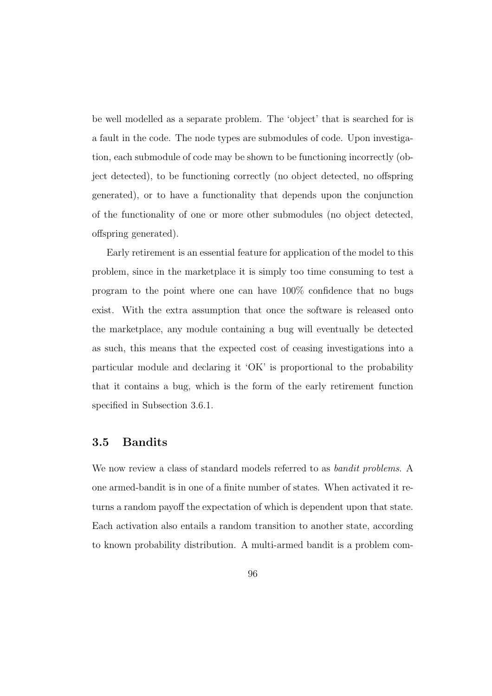be well modelled as a separate problem. The 'object' that is searched for is a fault in the code. The node types are submodules of code. Upon investigation, each submodule of code may be shown to be functioning incorrectly (object detected), to be functioning correctly (no object detected, no offspring generated), or to have a functionality that depends upon the conjunction of the functionality of one or more other submodules (no object detected, offspring generated).

Early retirement is an essential feature for application of the model to this problem, since in the marketplace it is simply too time consuming to test a program to the point where one can have 100% confidence that no bugs exist. With the extra assumption that once the software is released onto the marketplace, any module containing a bug will eventually be detected as such, this means that the expected cost of ceasing investigations into a particular module and declaring it 'OK' is proportional to the probability that it contains a bug, which is the form of the early retirement function specified in Subsection 3.6.1.

## **3.5 Bandits**

We now review a class of standard models referred to as bandit problems. A one armed-bandit is in one of a finite number of states. When activated it returns a random payoff the expectation of which is dependent upon that state. Each activation also entails a random transition to another state, according to known probability distribution. A multi-armed bandit is a problem com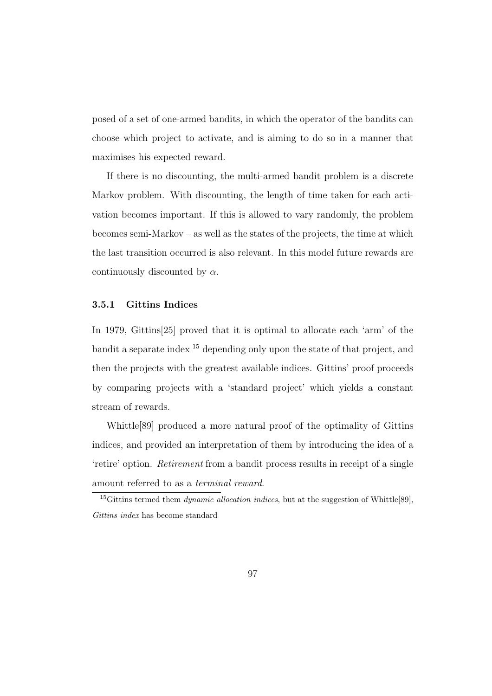posed of a set of one-armed bandits, in which the operator of the bandits can choose which project to activate, and is aiming to do so in a manner that maximises his expected reward.

If there is no discounting, the multi-armed bandit problem is a discrete Markov problem. With discounting, the length of time taken for each activation becomes important. If this is allowed to vary randomly, the problem becomes semi-Markov – as well as the states of the projects, the time at which the last transition occurred is also relevant. In this model future rewards are continuously discounted by  $\alpha$ .

#### **3.5.1 Gittins Indices**

In 1979, Gittins[25] proved that it is optimal to allocate each 'arm' of the bandit a separate index <sup>15</sup> depending only upon the state of that project, and then the projects with the greatest available indices. Gittins' proof proceeds by comparing projects with a 'standard project' which yields a constant stream of rewards.

Whittle[89] produced a more natural proof of the optimality of Gittins indices, and provided an interpretation of them by introducing the idea of a 'retire' option. Retirement from a bandit process results in receipt of a single amount referred to as a terminal reward.

<sup>&</sup>lt;sup>15</sup>Gittins termed them *dynamic allocation indices*, but at the suggestion of Whittle[89], *Gittins index* has become standard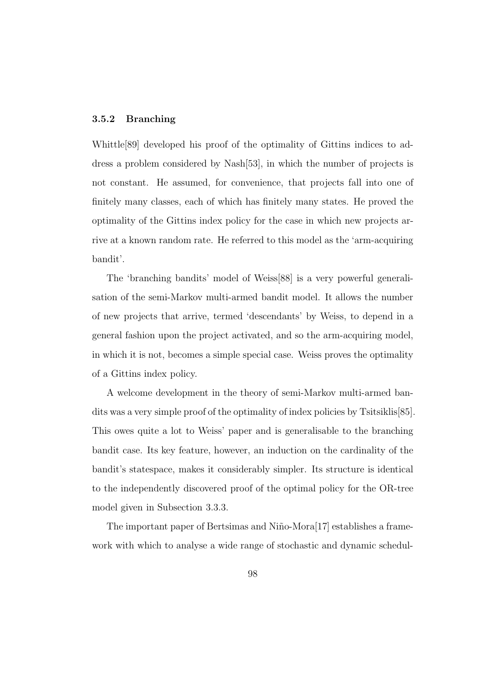#### **3.5.2 Branching**

Whittle[89] developed his proof of the optimality of Gittins indices to address a problem considered by Nash[53], in which the number of projects is not constant. He assumed, for convenience, that projects fall into one of finitely many classes, each of which has finitely many states. He proved the optimality of the Gittins index policy for the case in which new projects arrive at a known random rate. He referred to this model as the 'arm-acquiring bandit'.

The 'branching bandits' model of Weiss[88] is a very powerful generalisation of the semi-Markov multi-armed bandit model. It allows the number of new projects that arrive, termed 'descendants' by Weiss, to depend in a general fashion upon the project activated, and so the arm-acquiring model, in which it is not, becomes a simple special case. Weiss proves the optimality of a Gittins index policy.

A welcome development in the theory of semi-Markov multi-armed bandits was a very simple proof of the optimality of index policies by Tsitsiklis[85]. This owes quite a lot to Weiss' paper and is generalisable to the branching bandit case. Its key feature, however, an induction on the cardinality of the bandit's statespace, makes it considerably simpler. Its structure is identical to the independently discovered proof of the optimal policy for the OR-tree model given in Subsection 3.3.3.

The important paper of Bertsimas and Niño-Mora<sup>[17]</sup> establishes a framework with which to analyse a wide range of stochastic and dynamic schedul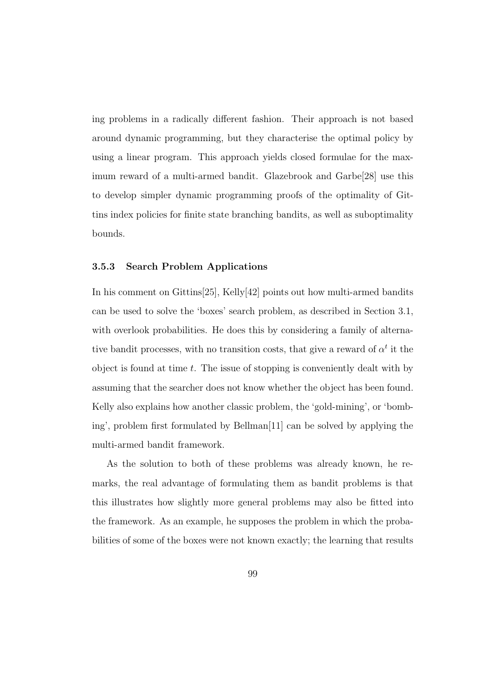ing problems in a radically different fashion. Their approach is not based around dynamic programming, but they characterise the optimal policy by using a linear program. This approach yields closed formulae for the maximum reward of a multi-armed bandit. Glazebrook and Garbe[28] use this to develop simpler dynamic programming proofs of the optimality of Gittins index policies for finite state branching bandits, as well as suboptimality bounds.

#### **3.5.3 Search Problem Applications**

In his comment on Gittins[25], Kelly[42] points out how multi-armed bandits can be used to solve the 'boxes' search problem, as described in Section 3.1, with overlook probabilities. He does this by considering a family of alternative bandit processes, with no transition costs, that give a reward of  $\alpha^t$  it the object is found at time  $t$ . The issue of stopping is conveniently dealt with by assuming that the searcher does not know whether the object has been found. Kelly also explains how another classic problem, the 'gold-mining', or 'bombing', problem first formulated by Bellman[11] can be solved by applying the multi-armed bandit framework.

As the solution to both of these problems was already known, he remarks, the real advantage of formulating them as bandit problems is that this illustrates how slightly more general problems may also be fitted into the framework. As an example, he supposes the problem in which the probabilities of some of the boxes were not known exactly; the learning that results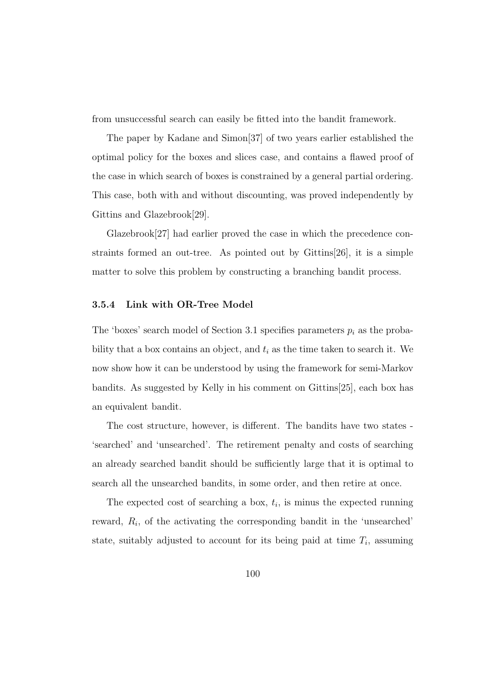from unsuccessful search can easily be fitted into the bandit framework.

The paper by Kadane and Simon[37] of two years earlier established the optimal policy for the boxes and slices case, and contains a flawed proof of the case in which search of boxes is constrained by a general partial ordering. This case, both with and without discounting, was proved independently by Gittins and Glazebrook[29].

Glazebrook[27] had earlier proved the case in which the precedence constraints formed an out-tree. As pointed out by Gittins[26], it is a simple matter to solve this problem by constructing a branching bandit process.

#### **3.5.4 Link with OR-Tree Model**

The 'boxes' search model of Section 3.1 specifies parameters  $p_i$  as the probability that a box contains an object, and  $t_i$  as the time taken to search it. We now show how it can be understood by using the framework for semi-Markov bandits. As suggested by Kelly in his comment on Gittins[25], each box has an equivalent bandit.

The cost structure, however, is different. The bandits have two states - 'searched' and 'unsearched'. The retirement penalty and costs of searching an already searched bandit should be sufficiently large that it is optimal to search all the unsearched bandits, in some order, and then retire at once.

The expected cost of searching a box,  $t_i$ , is minus the expected running reward,  $R_i$ , of the activating the corresponding bandit in the 'unsearched' state, suitably adjusted to account for its being paid at time  $T_i$ , assuming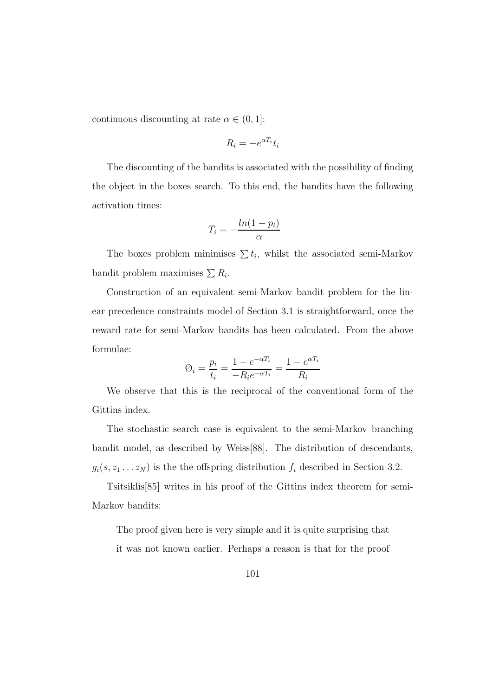continuous discounting at rate  $\alpha \in (0,1]$ :

$$
R_i = -e^{\alpha T_i} t_i
$$

The discounting of the bandits is associated with the possibility of finding the object in the boxes search. To this end, the bandits have the following activation times:

$$
T_i = -\frac{\ln(1 - p_i)}{\alpha}
$$

The boxes problem minimises  $\sum t_i$ , whilst the associated semi-Markov bandit problem maximises  $\sum R_i$ .

Construction of an equivalent semi-Markov bandit problem for the linear precedence constraints model of Section 3.1 is straightforward, once the reward rate for semi-Markov bandits has been calculated. From the above formulae:

$$
\text{\O}_i = \frac{p_i}{t_i} = \frac{1-e^{-\alpha T_i}}{-R_i e^{-\alpha T_i}} = \frac{1-e^{\alpha T_i}}{R_i}
$$

We observe that this is the reciprocal of the conventional form of the Gittins index.

The stochastic search case is equivalent to the semi-Markov branching bandit model, as described by Weiss[88]. The distribution of descendants,  $g_i(s, z_1 \ldots z_N)$  is the the offspring distribution  $f_i$  described in Section 3.2.

Tsitsiklis[85] writes in his proof of the Gittins index theorem for semi-Markov bandits:

The proof given here is very simple and it is quite surprising that it was not known earlier. Perhaps a reason is that for the proof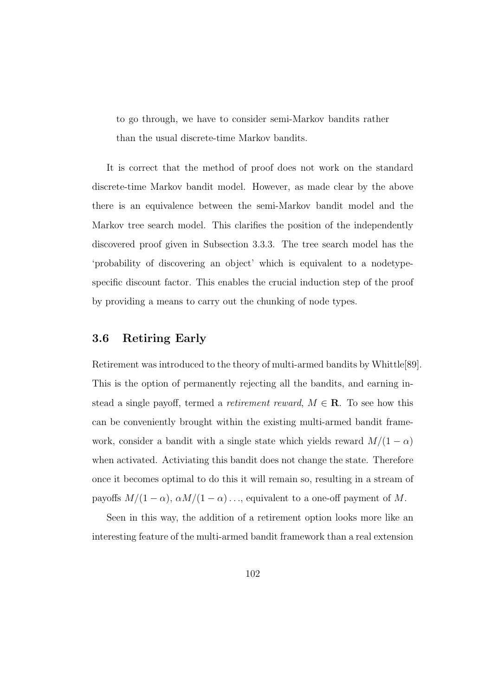to go through, we have to consider semi-Markov bandits rather than the usual discrete-time Markov bandits.

It is correct that the method of proof does not work on the standard discrete-time Markov bandit model. However, as made clear by the above there is an equivalence between the semi-Markov bandit model and the Markov tree search model. This clarifies the position of the independently discovered proof given in Subsection 3.3.3. The tree search model has the 'probability of discovering an object' which is equivalent to a nodetypespecific discount factor. This enables the crucial induction step of the proof by providing a means to carry out the chunking of node types.

## **3.6 Retiring Early**

Retirement was introduced to the theory of multi-armed bandits by Whittle[89]. This is the option of permanently rejecting all the bandits, and earning instead a single payoff, termed a *retirement reward*,  $M \in \mathbf{R}$ . To see how this can be conveniently brought within the existing multi-armed bandit framework, consider a bandit with a single state which yields reward  $M/(1 - \alpha)$ when activated. Activiating this bandit does not change the state. Therefore once it becomes optimal to do this it will remain so, resulting in a stream of payoffs  $M/(1 - \alpha)$ ,  $\alpha M/(1 - \alpha)$ ..., equivalent to a one-off payment of M.

Seen in this way, the addition of a retirement option looks more like an interesting feature of the multi-armed bandit framework than a real extension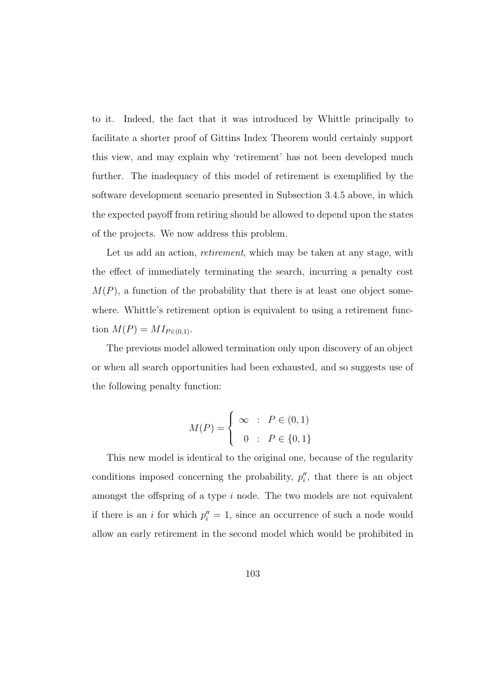to it. Indeed, the fact that it was introduced by Whittle principally to facilitate a shorter proof of Gittins Index Theorem would certainly support this view, and may explain why 'retirement' has not been developed much further. The inadequacy of this model of retirement is exemplified by the software development scenario presented in Subsection 3.4.5 above, in which the expected payoff from retiring should be allowed to depend upon the states of the projects. We now address this problem.

Let us add an action, *retirement*, which may be taken at any stage, with the effect of immediately terminating the search, incurring a penalty cost  $M(P)$ , a function of the probability that there is at least one object somewhere. Whittle's retirement option is equivalent to using a retirement function  $M(P) = M I_{P \in (0,1)}$ .

The previous model allowed termination only upon discovery of an object or when all search opportunities had been exhausted, and so suggests use of the following penalty function:

$$
M(P) = \begin{cases} \infty & \text{: } P \in (0,1) \\ 0 & \text{: } P \in \{0,1\} \end{cases}
$$

This new model is identical to the original one, because of the regularity conditions imposed concerning the probability,  $p''_i$ , that there is an object amongst the offspring of a type  $i$  node. The two models are not equivalent if there is an *i* for which  $p''_i = 1$ , since an occurrence of such a node would allow an early retirement in the second model which would be prohibited in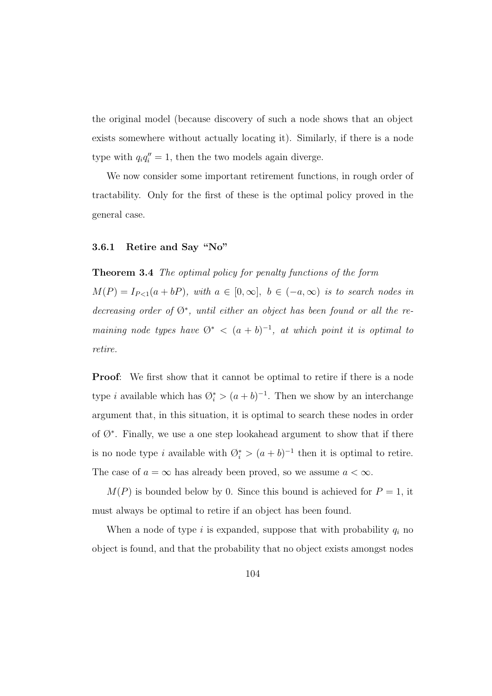the original model (because discovery of such a node shows that an object exists somewhere without actually locating it). Similarly, if there is a node type with  $q_i q_i'' = 1$ , then the two models again diverge.

We now consider some important retirement functions, in rough order of tractability. Only for the first of these is the optimal policy proved in the general case.

## **3.6.1 Retire and Say "No"**

**Theorem 3.4** The optimal policy for penalty functions of the form  $M(P) = I_{P \leq 1}(a + bP)$ , with  $a \in [0, \infty]$ ,  $b \in (-a, \infty)$  is to search nodes in decreasing order of Ø<sup>∗</sup>, until either an object has been found or all the remaining node types have  $\mathcal{O}^*$  <  $(a + b)^{-1}$ , at which point it is optimal to retire.

**Proof:** We first show that it cannot be optimal to retire if there is a node type *i* available which has  $\mathcal{O}_i^* > (a + b)^{-1}$ . Then we show by an interchange argument that, in this situation, it is optimal to search these nodes in order of  $\emptyset^*$ . Finally, we use a one step lookahead argument to show that if there is no node type *i* available with  $\mathcal{O}_i^* > (a + b)^{-1}$  then it is optimal to retire. The case of  $a = \infty$  has already been proved, so we assume  $a < \infty$ .

 $M(P)$  is bounded below by 0. Since this bound is achieved for  $P = 1$ , it must always be optimal to retire if an object has been found.

When a node of type i is expanded, suppose that with probability  $q_i$  no object is found, and that the probability that no object exists amongst nodes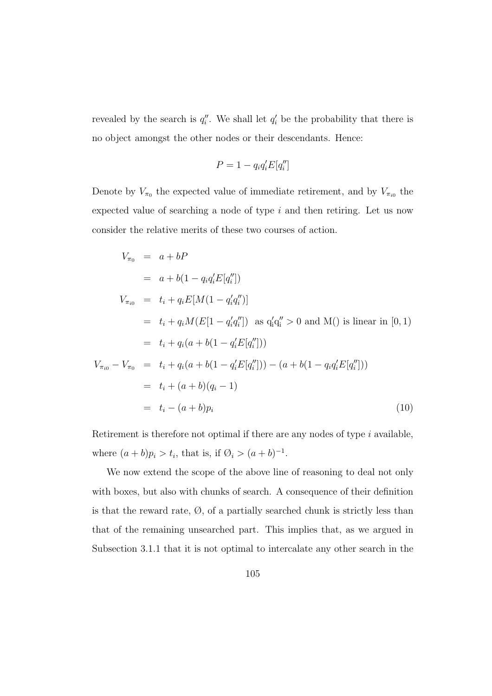revealed by the search is  $q_i''$ . We shall let  $q_i'$  be the probability that there is no object amongst the other nodes or their descendants. Hence:

$$
P = 1 - q_i q_i' E[q_i'']
$$

Denote by  $V_{\pi_0}$  the expected value of immediate retirement, and by  $V_{\pi_{i0}}$  the expected value of searching a node of type  $i$  and then retiring. Let us now consider the relative merits of these two courses of action.

$$
V_{\pi_0} = a + bP
$$
  
\n
$$
= a + b(1 - q_i q_i'E[q_i''])
$$
  
\n
$$
V_{\pi_{i0}} = t_i + q_i E[M(1 - q_i' q_i''])
$$
  
\n
$$
= t_i + q_i M(E[1 - q_i' q_i'']) \text{ as } q_i' q_i'' > 0 \text{ and } M() \text{ is linear in } [0, 1)
$$
  
\n
$$
= t_i + q_i (a + b(1 - q_i'E[q_i']))
$$
  
\n
$$
V_{\pi_{i0}} - V_{\pi_0} = t_i + q_i (a + b(1 - q_i'E[q_i'])) - (a + b(1 - q_i q_i'E[q_i']))
$$
  
\n
$$
= t_i + (a + b)(q_i - 1)
$$
  
\n
$$
= t_i - (a + b)p_i
$$
\n(10)

Retirement is therefore not optimal if there are any nodes of type  $i$  available, where  $(a + b)p_i > t_i$ , that is, if  $\emptyset_i > (a + b)^{-1}$ .

We now extend the scope of the above line of reasoning to deal not only with boxes, but also with chunks of search. A consequence of their definition is that the reward rate,  $\emptyset$ , of a partially searched chunk is strictly less than that of the remaining unsearched part. This implies that, as we argued in Subsection 3.1.1 that it is not optimal to intercalate any other search in the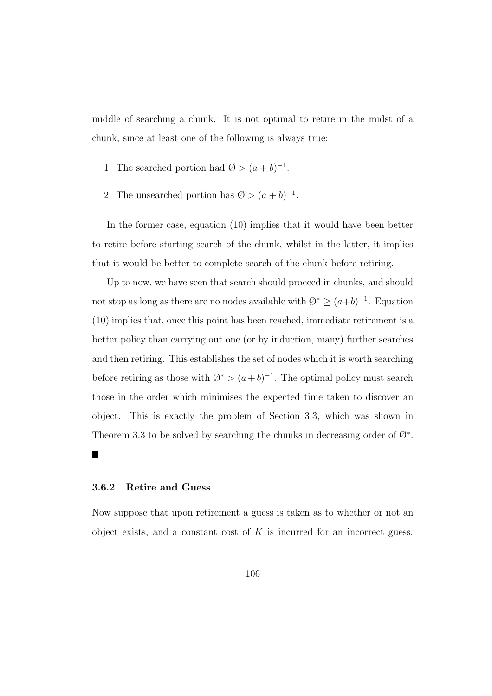middle of searching a chunk. It is not optimal to retire in the midst of a chunk, since at least one of the following is always true:

- 1. The searched portion had  $\emptyset > (a+b)^{-1}$ .
- 2. The unsearched portion has  $\emptyset > (a+b)^{-1}$ .

In the former case, equation (10) implies that it would have been better to retire before starting search of the chunk, whilst in the latter, it implies that it would be better to complete search of the chunk before retiring.

Up to now, we have seen that search should proceed in chunks, and should not stop as long as there are no nodes available with  $\emptyset^* \geq (a+b)^{-1}$ . Equation (10) implies that, once this point has been reached, immediate retirement is a better policy than carrying out one (or by induction, many) further searches and then retiring. This establishes the set of nodes which it is worth searching before retiring as those with  $\emptyset^* > (a+b)^{-1}$ . The optimal policy must search those in the order which minimises the expected time taken to discover an object. This is exactly the problem of Section 3.3, which was shown in Theorem 3.3 to be solved by searching the chunks in decreasing order of  $\varnothing^*$ .

#### **3.6.2 Retire and Guess**

 $\blacksquare$ 

Now suppose that upon retirement a guess is taken as to whether or not an object exists, and a constant cost of  $K$  is incurred for an incorrect guess.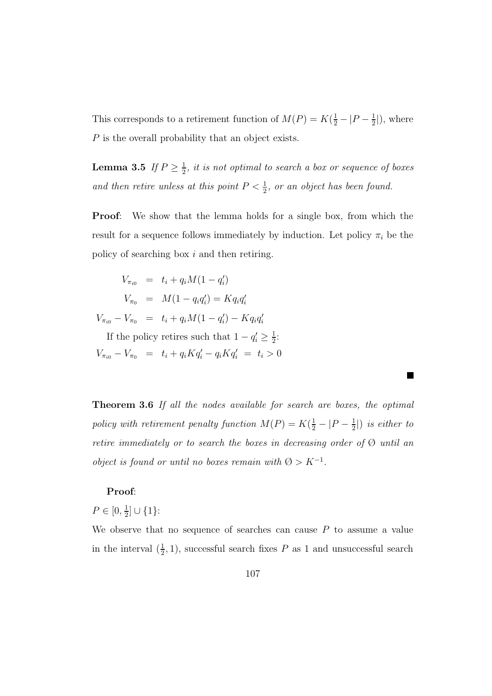This corresponds to a retirement function of  $M(P) = K(\frac{1}{2} - |P - \frac{1}{2}|)$ , where P is the overall probability that an object exists.

**Lemma 3.5** If  $P \geq \frac{1}{2}$ , it is not optimal to search a box or sequence of boxes and then retire unless at this point  $P < \frac{1}{2}$ , or an object has been found.

**Proof:** We show that the lemma holds for a single box, from which the result for a sequence follows immediately by induction. Let policy  $\pi_i$  be the policy of searching box i and then retiring.

$$
V_{\pi_{i0}} = t_i + q_i M(1 - q'_i)
$$
  
\n
$$
V_{\pi_0} = M(1 - q_i q'_i) = K q_i q'_i
$$
  
\n
$$
V_{\pi_{i0}} - V_{\pi_0} = t_i + q_i M(1 - q'_i) - K q_i q'_i
$$
  
\nIf the policy retires such that  $1 - q'_i \geq \frac{1}{2}$ :

 $V_{\pi_{i0}} - V_{\pi_{0}} = t_i + q_i K q'_i - q_i K q'_i = t_i > 0$ 

**Theorem 3.6** If all the nodes available for search are boxes, the optimal policy with retirement penalty function  $M(P) = K(\frac{1}{2} - |P - \frac{1}{2}|)$  is either to retire immediately or to search the boxes in decreasing order of  $\emptyset$  until an object is found or until no boxes remain with  $\varnothing > K^{-1}$ .

 $\blacksquare$ 

#### **Proof**:

 $P \in [0, \frac{1}{2}] \cup \{1\}$ :

We observe that no sequence of searches can cause  $P$  to assume a value in the interval  $(\frac{1}{2}, 1)$ , successful search fixes P as 1 and unsuccessful search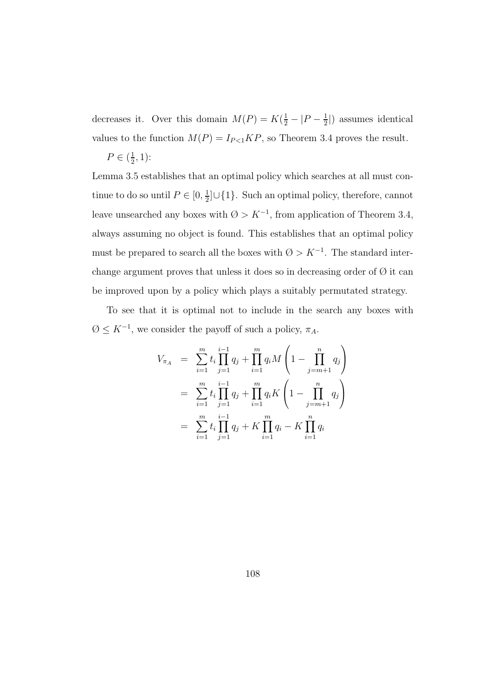decreases it. Over this domain  $M(P) = K(\frac{1}{2} - |P - \frac{1}{2}|)$  assumes identical values to the function  $M(P) = I_{P \le 1} K P$ , so Theorem 3.4 proves the result.

$$
P \in (\frac{1}{2}, 1)
$$
:

Lemma 3.5 establishes that an optimal policy which searches at all must continue to do so until  $P \in [0, \frac{1}{2}] \cup \{1\}$ . Such an optimal policy, therefore, cannot leave unsearched any boxes with  $\emptyset > K^{-1}$ , from application of Theorem 3.4, always assuming no object is found. This establishes that an optimal policy must be prepared to search all the boxes with  $\emptyset > K^{-1}$ . The standard interchange argument proves that unless it does so in decreasing order of  $\emptyset$  it can be improved upon by a policy which plays a suitably permutated strategy.

To see that it is optimal not to include in the search any boxes with  $\emptyset \leq K^{-1}$ , we consider the payoff of such a policy,  $\pi_A$ .

$$
V_{\pi_A} = \sum_{i=1}^m t_i \prod_{j=1}^{i-1} q_j + \prod_{i=1}^m q_i M \left( 1 - \prod_{j=m+1}^n q_j \right)
$$
  
= 
$$
\sum_{i=1}^m t_i \prod_{j=1}^{i-1} q_j + \prod_{i=1}^m q_i K \left( 1 - \prod_{j=m+1}^n q_j \right)
$$
  
= 
$$
\sum_{i=1}^m t_i \prod_{j=1}^{i-1} q_j + K \prod_{i=1}^m q_i - K \prod_{i=1}^n q_i
$$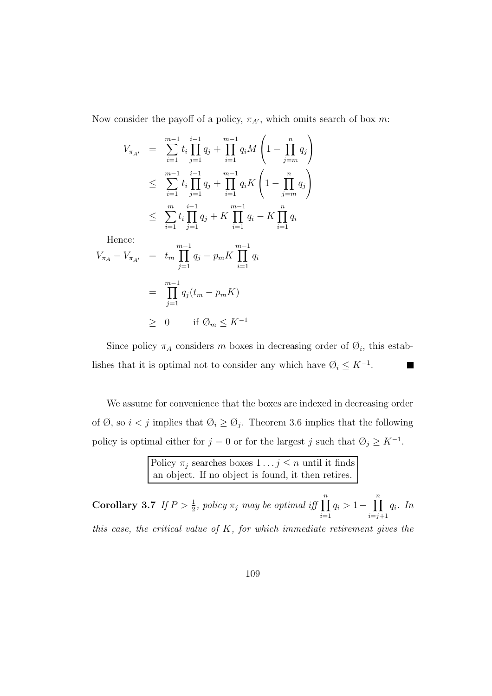Now consider the payoff of a policy,  $\pi_{A'}$ , which omits search of box m:

$$
V_{\pi_{A'}} = \sum_{i=1}^{m-1} t_i \prod_{j=1}^{i-1} q_j + \prod_{i=1}^{m-1} q_i M \left( 1 - \prod_{j=m}^{n} q_j \right)
$$
  
\n
$$
\leq \sum_{i=1}^{m-1} t_i \prod_{j=1}^{i-1} q_j + \prod_{i=1}^{m-1} q_i K \left( 1 - \prod_{j=m}^{n} q_j \right)
$$
  
\n
$$
\leq \sum_{i=1}^{m} t_i \prod_{j=1}^{i-1} q_j + K \prod_{i=1}^{m-1} q_i - K \prod_{i=1}^{n} q_i
$$

Hence:

$$
V_{\pi_A} - V_{\pi_{A'}} = t_m \prod_{j=1}^{m-1} q_j - p_m K \prod_{i=1}^{m-1} q_i
$$
  
= 
$$
\prod_{j=1}^{m-1} q_j (t_m - p_m K)
$$
  

$$
\geq 0 \quad \text{if } \emptyset_m \leq K^{-1}
$$

Since policy  $\pi_A$  considers m boxes in decreasing order of  $\mathcal{O}_i$ , this establishes that it is optimal not to consider any which have  $\emptyset_i \leq K^{-1}$ . F

We assume for convenience that the boxes are indexed in decreasing order of Ø, so  $i < j$  implies that  $\emptyset_i \geq \emptyset_j$ . Theorem 3.6 implies that the following policy is optimal either for  $j = 0$  or for the largest j such that  $\emptyset_j \geq K^{-1}$ .

> Policy  $\pi_j$  searches boxes  $1 \dots j \le n$  until it finds an object. If no object is found, it then retires.

**Corollary 3.7** If  $P > \frac{1}{2}$ , policy  $\pi_j$  may be optimal iff  $\prod_{i=1}^n$  $q_i > 1-\prod^n$  $i=j+1$ qi. In this case, the critical value of  $K$ , for which immediate retirement gives the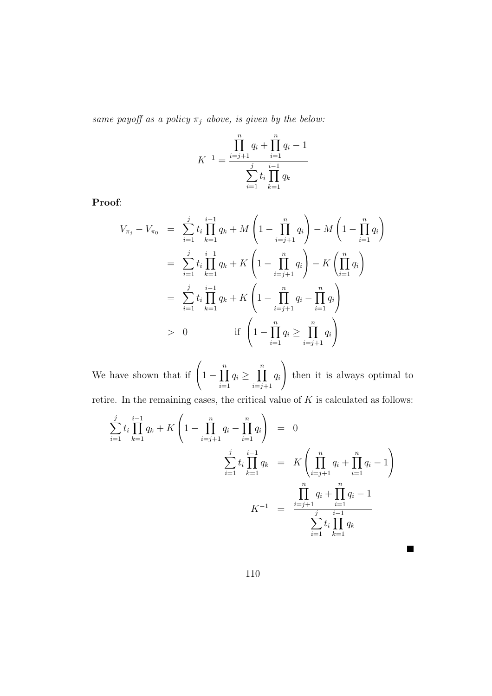same payoff as a policy  $\pi_j$  above, is given by the below:

$$
K^{-1} = \frac{\prod_{i=j+1}^{n} q_i + \prod_{i=1}^{n} q_i - 1}{\sum_{i=1}^{j} t_i \prod_{k=1}^{i-1} q_k}
$$

**Proof**:

$$
V_{\pi_j} - V_{\pi_0} = \sum_{i=1}^j t_i \prod_{k=1}^{i-1} q_k + M \left( 1 - \prod_{i=j+1}^n q_i \right) - M \left( 1 - \prod_{i=1}^n q_i \right)
$$
  

$$
= \sum_{i=1}^j t_i \prod_{k=1}^{i-1} q_k + K \left( 1 - \prod_{i=j+1}^n q_i \right) - K \left( \prod_{i=1}^n q_i \right)
$$
  

$$
= \sum_{i=1}^j t_i \prod_{k=1}^{i-1} q_k + K \left( 1 - \prod_{i=j+1}^n q_i - \prod_{i=1}^n q_i \right)
$$
  

$$
> 0 \qquad \text{if } \left( 1 - \prod_{i=1}^n q_i \ge \prod_{i=j+1}^n q_i \right)
$$

We have shown that if  $\left(1-\prod_{i=1}^n\right.$  $q_i \geq \prod^n$  $i=j+1$ qi  $\setminus$  then it is always optimal to retire. In the remaining cases, the critical value of  $K$  is calculated as follows:

$$
\sum_{i=1}^{j} t_i \prod_{k=1}^{i-1} q_k + K \left( 1 - \prod_{i=j+1}^{n} q_i - \prod_{i=1}^{n} q_i \right) = 0
$$
\n
$$
\sum_{i=1}^{j} t_i \prod_{k=1}^{i-1} q_k = K \left( \prod_{i=j+1}^{n} q_i + \prod_{i=1}^{n} q_i - 1 \right)
$$
\n
$$
K^{-1} = \frac{\prod_{i=j+1}^{n} q_i + \prod_{i=1}^{n} q_i - 1}{\sum_{i=1}^{j} t_i \prod_{k=1}^{i-1} q_k}
$$

 $\blacksquare$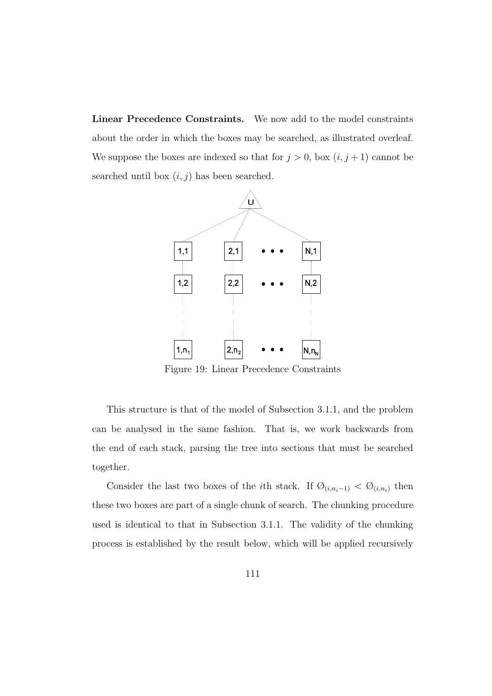**Linear Precedence Constraints.** We now add to the model constraints about the order in which the boxes may be searched, as illustrated overleaf. We suppose the boxes are indexed so that for  $j > 0$ , box  $(i, j + 1)$  cannot be searched until box  $(i, j)$  has been searched.



Figure 19: Linear Precedence Constraints

This structure is that of the model of Subsection 3.1.1, and the problem can be analysed in the same fashion. That is, we work backwards from the end of each stack, parsing the tree into sections that must be searched together.

Consider the last two boxes of the *i*th stack. If  $\mathcal{O}_{(i,n_i-1)} < \mathcal{O}_{(i,n_i)}$  then these two boxes are part of a single chunk of search. The chunking procedure used is identical to that in Subsection 3.1.1. The validity of the chunking process is established by the result below, which will be applied recursively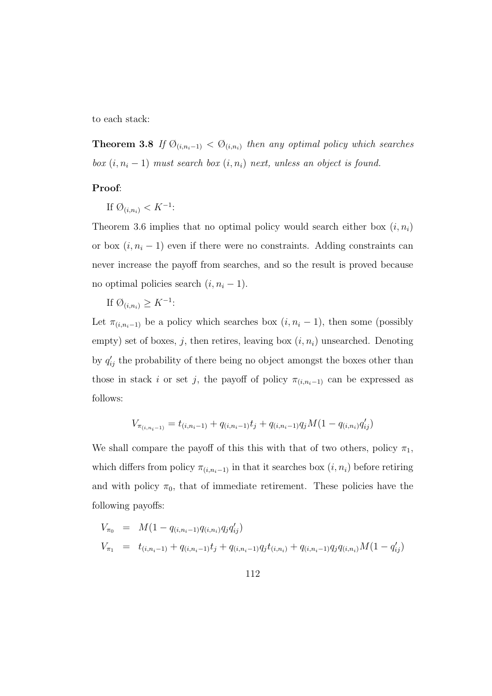to each stack:

**Theorem 3.8** If  $\mathcal{O}_{(i,n_i-1)} < \mathcal{O}_{(i,n_i)}$  then any optimal policy which searches box  $(i, n_i - 1)$  must search box  $(i, n_i)$  next, unless an object is found.

### **Proof**:

If  $\emptyset_{(i,n_i)} < K^{-1}$ :

Theorem 3.6 implies that no optimal policy would search either box  $(i, n_i)$ or box  $(i, n_i - 1)$  even if there were no constraints. Adding constraints can never increase the payoff from searches, and so the result is proved because no optimal policies search  $(i, n_i - 1)$ .

If  $\emptyset_{(i,n_i)} \geq K^{-1}$ :

Let  $\pi_{(i,n_i-1)}$  be a policy which searches box  $(i, n_i - 1)$ , then some (possibly empty) set of boxes, j, then retires, leaving box  $(i, n_i)$  unsearched. Denoting by  $q'_{ij}$  the probability of there being no object amongst the boxes other than those in stack i or set j, the payoff of policy  $\pi_{(i,n_i-1)}$  can be expressed as follows:

$$
V_{\pi_{(i,n_i-1)}} = t_{(i,n_i-1)} + q_{(i,n_i-1)}t_j + q_{(i,n_i-1)}q_jM(1 - q_{(i,n_i)}q_{ij}')
$$

We shall compare the payoff of this this with that of two others, policy  $\pi_1$ , which differs from policy  $\pi_{(i,n_i-1)}$  in that it searches box  $(i, n_i)$  before retiring and with policy  $\pi_0$ , that of immediate retirement. These policies have the following payoffs:

$$
V_{\pi_0} = M(1 - q_{(i,n_i-1)}q_{(i,n_i)}q_jq_{ij}')
$$
  
\n
$$
V_{\pi_1} = t_{(i,n_i-1)} + q_{(i,n_i-1)}t_j + q_{(i,n_i-1)}q_jt_{(i,n_i)} + q_{(i,n_i-1)}q_jq_{(i,n_i)}M(1 - q_{ij}')
$$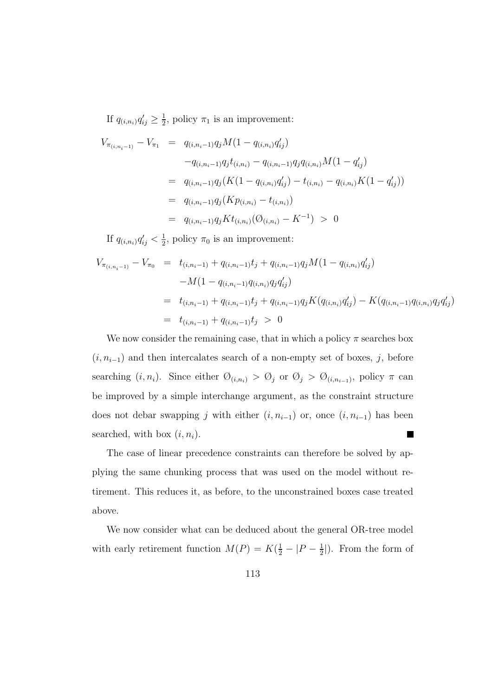If  $q_{(i,n_i)}q'_{ij} \geq \frac{1}{2}$ , policy  $\pi_1$  is an improvement:

$$
V_{\pi_{(i,n_i-1)}} - V_{\pi_1} = q_{(i,n_i-1)}q_j M(1 - q_{(i,n_i)}q'_{ij})
$$
  
\n
$$
-q_{(i,n_i-1)}q_j t_{(i,n_i)} - q_{(i,n_i-1)}q_j q_{(i,n_i)} M(1 - q'_{ij})
$$
  
\n
$$
= q_{(i,n_i-1)}q_j (K(1 - q_{(i,n_i)}q'_{ij}) - t_{(i,n_i)} - q_{(i,n_i)}K(1 - q'_{ij}))
$$
  
\n
$$
= q_{(i,n_i-1)}q_j (Kp_{(i,n_i)} - t_{(i,n_i)})
$$
  
\n
$$
= q_{(i,n_i-1)}q_j K t_{(i,n_i)} (\mathcal{O}_{(i,n_i)} - K^{-1}) > 0
$$

If  $q_{(i,n_i)}q'_{ij} < \frac{1}{2}$ , policy  $\pi_0$  is an improvement:

$$
V_{\pi_{(i,n_i-1)}} - V_{\pi_0} = t_{(i,n_i-1)} + q_{(i,n_i-1)}t_j + q_{(i,n_i-1)}q_jM(1 - q_{(i,n_i)}q'_{ij})
$$
  
-M(1 - q\_{(i,n\_i-1)}q\_{(i,n\_i)}q\_jq'\_{ij})  
= t\_{(i,n\_i-1)} + q\_{(i,n\_i-1)}t\_j + q\_{(i,n\_i-1)}q\_jK(q\_{(i,n\_i)}q'\_{ij}) - K(q\_{(i,n\_i-1)}q\_{(i,n\_i)}q\_jq'\_{ij})  
= t\_{(i,n\_i-1)} + q\_{(i,n\_i-1)}t\_j > 0

We now consider the remaining case, that in which a policy  $\pi$  searches box  $(i, n_{i-1})$  and then intercalates search of a non-empty set of boxes, j, before searching  $(i, n_i)$ . Since either  $\emptyset_{(i,n_i)} > \emptyset_j$  or  $\emptyset_j > \emptyset_{(i,n_{i-1})}$ , policy  $\pi$  can be improved by a simple interchange argument, as the constraint structure does not debar swapping j with either  $(i, n_{i-1})$  or, once  $(i, n_{i-1})$  has been searched, with box  $(i, n_i)$ . П

The case of linear precedence constraints can therefore be solved by applying the same chunking process that was used on the model without retirement. This reduces it, as before, to the unconstrained boxes case treated above.

We now consider what can be deduced about the general OR-tree model with early retirement function  $M(P) = K(\frac{1}{2} - |P - \frac{1}{2}|)$ . From the form of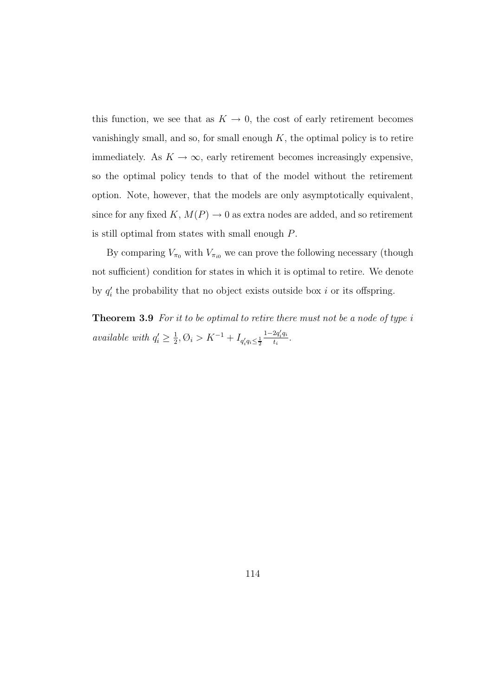this function, we see that as  $K \to 0$ , the cost of early retirement becomes vanishingly small, and so, for small enough  $K$ , the optimal policy is to retire immediately. As  $K \to \infty$ , early retirement becomes increasingly expensive, so the optimal policy tends to that of the model without the retirement option. Note, however, that the models are only asymptotically equivalent, since for any fixed K,  $M(P) \to 0$  as extra nodes are added, and so retirement is still optimal from states with small enough P.

By comparing  $V_{\pi_0}$  with  $V_{\pi_{i0}}$  we can prove the following necessary (though not sufficient) condition for states in which it is optimal to retire. We denote by  $q_i'$  the probability that no object exists outside box i or its offspring.

**Theorem 3.9** For it to be optimal to retire there must not be a node of type i *available with*  $q'_i \ge \frac{1}{2}, \emptyset_i > K^{-1} + I_{q'_i q_i \le \frac{1}{2}}$  $\frac{1-2q'_iq_i}{t_i}$ .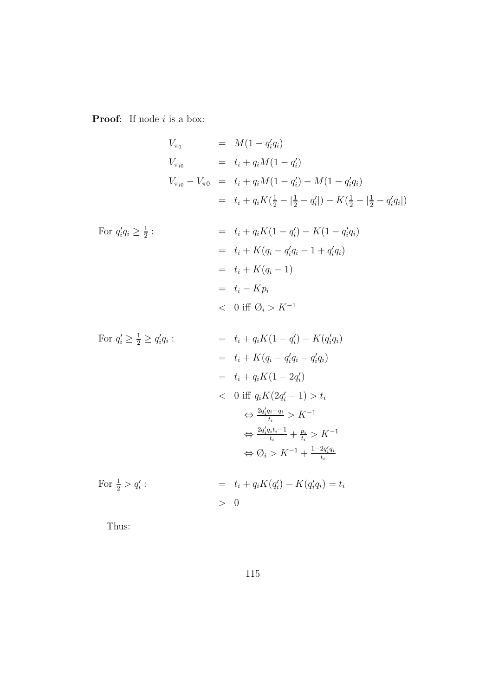**Proof:** If node *i* is a box:

$$
V_{\pi_0} = M(1 - q_i' q_i)
$$
  
\n
$$
V_{\pi_{i0}} = t_i + q_i M(1 - q_i')
$$
  
\n
$$
V_{\pi_{i0}} - V_{\pi 0} = t_i + q_i M(1 - q_i') - M(1 - q_i' q_i)
$$
  
\n
$$
= t_i + q_i K(\frac{1}{2} - |\frac{1}{2} - q_i'|) - K(\frac{1}{2} - |\frac{1}{2} - q_i' q_i|)
$$

For 
$$
q'_i q_i \ge \frac{1}{2}
$$
:  
\n
$$
= t_i + q_i K (1 - q'_i) - K (1 - q'_i q_i)
$$
\n
$$
= t_i + K (q_i - q'_i q_i - 1 + q'_i q_i)
$$
\n
$$
= t_i + K (q_i - 1)
$$
\n
$$
= t_i - K p_i
$$
\n
$$
< 0 \text{ iff } \emptyset_i > K^{-1}
$$

For 
$$
q'_i \ge \frac{1}{2} \ge q'_i q_i
$$
:  
\n
$$
= t_i + q_i K (1 - q'_i) - K (q'_i q_i)
$$
\n
$$
= t_i + K (q_i - q'_i q_i - q'_i q_i)
$$
\n
$$
= t_i + q_i K (1 - 2q'_i)
$$
\n
$$
< 0 \text{ iff } q_i K (2q'_i - 1) > t_i
$$
\n
$$
\Leftrightarrow \frac{2q'_i q_i - q_i}{t_i} > K^{-1}
$$
\n
$$
\Leftrightarrow \frac{2q'_i q_i t_i - 1}{t_i} + \frac{p_i}{t_i} > K^{-1}
$$
\n
$$
\Leftrightarrow \emptyset_i > K^{-1} + \frac{1 - 2q'_i q_i}{t_i}
$$
\nFor  $\frac{1}{2} > q'_i$ :  
\n
$$
= t_i + q_i K (q'_i) - K (q'_i q_i) = t_i
$$

> 0

$$
f_{\rm{max}}
$$

Thus: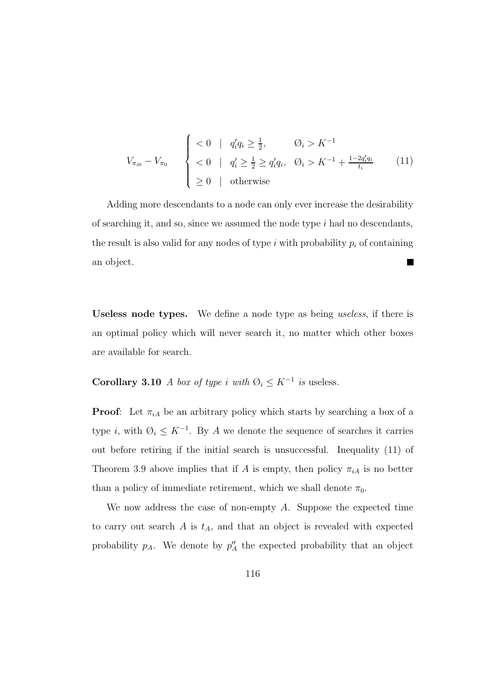$$
V_{\pi_{i0}} - V_{\pi_0} \qquad \begin{cases} < 0 \mid q'_i q_i \ge \frac{1}{2}, \qquad \mathcal{O}_i > K^{-1} \\ < 0 \mid q'_i \ge \frac{1}{2} \ge q'_i q_i, \quad \mathcal{O}_i > K^{-1} + \frac{1 - 2q'_i q_i}{t_i} \\ < 0 \mid \text{otherwise} \end{cases} \tag{11}
$$

Adding more descendants to a node can only ever increase the desirability of searching it, and so, since we assumed the node type  $i$  had no descendants, the result is also valid for any nodes of type i with probability  $p_i$  of containing an object. **The Second Service** 

**Useless node types.** We define a node type as being useless, if there is an optimal policy which will never search it, no matter which other boxes are available for search.

# **Corollary 3.10** A box of type i with  $\emptyset_i \leq K^{-1}$  is useless.

**Proof:** Let  $\pi_{iA}$  be an arbitrary policy which starts by searching a box of a type i, with  $\emptyset_i \leq K^{-1}$ . By A we denote the sequence of searches it carries out before retiring if the initial search is unsuccessful. Inequality (11) of Theorem 3.9 above implies that if A is empty, then policy  $\pi_{iA}$  is no better than a policy of immediate retirement, which we shall denote  $\pi_0$ .

We now address the case of non-empty A. Suppose the expected time to carry out search  $A$  is  $t_A$ , and that an object is revealed with expected probability  $p_A$ . We denote by  $p_A''$  the expected probability that an object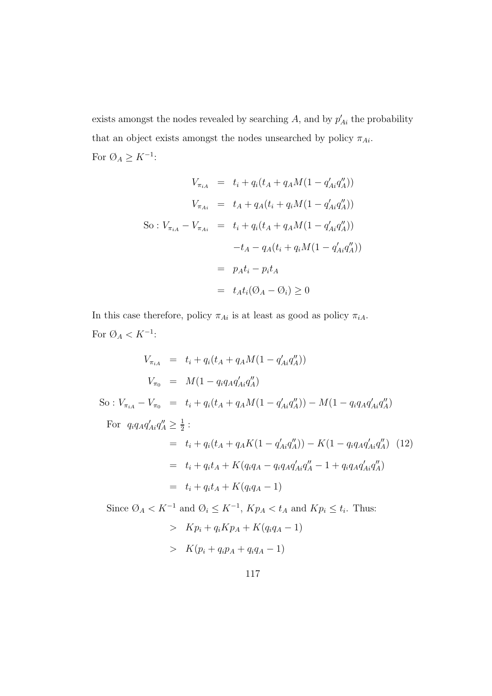exists amongst the nodes revealed by searching A, and by  $p'_{Ai}$  the probability that an object exists amongst the nodes unsearched by policy  $\pi_{Ai}$ . For  $\emptyset_A \geq K^{-1}$ :

$$
V_{\pi_{iA}} = t_i + q_i(t_A + q_A M(1 - q'_{Ai} q''_A))
$$
  
\n
$$
V_{\pi_{Ai}} = t_A + q_A(t_i + q_i M(1 - q'_{Ai} q''_A))
$$
  
\nSo:  $V_{\pi_{iA}} - V_{\pi_{Ai}} = t_i + q_i(t_A + q_A M(1 - q'_{Ai} q''_A))$   
\n
$$
-t_A - q_A(t_i + q_i M(1 - q'_{Ai} q''_A))
$$
  
\n
$$
= p_A t_i - p_i t_A
$$
  
\n
$$
= t_A t_i (\mathcal{O}_A - \mathcal{O}_i) \ge 0
$$

In this case therefore, policy  $\pi_{Ai}$  is at least as good as policy  $\pi_{iA}$ . For  $\text{\O}_A < K^{-1}$  :

$$
V_{\pi_{iA}} = t_i + q_i(t_A + q_A M(1 - q'_{Ai} q''_A))
$$
  
\n
$$
V_{\pi_0} = M(1 - q_i q_A q'_{Ai} q''_A)
$$
  
\nSo:  $V_{\pi_{iA}} - V_{\pi_0} = t_i + q_i(t_A + q_A M(1 - q'_{Ai} q''_A)) - M(1 - q_i q_A q'_{Ai} q''_A)$ 

For  $q_i q_A q'_{Ai} q''_A \ge \frac{1}{2}$ : =  $t_i + q_i(t_A + q_A K(1 - q'_{Ai}q''_A)) - K(1 - q_i q_A q'_{Ai}q''_A)$  (12)  $= t_i + q_i t_A + K(q_i q_A - q_i q_A q'_A q''_A - 1 + q_i q_A q'_A q''_A)$  $= t_i + q_i t_A + K(q_i q_A - 1)$ 

Since  $\emptyset_A < K^{-1}$  and  $\emptyset_i \leq K^{-1}$ ,  $Kp_A < t_A$  and  $Kp_i \leq t_i$ . Thus:  $> K p_i + q_i K p_A + K(q_i q_A - 1)$  $> K(p_i + q_i p_A + q_i q_A - 1)$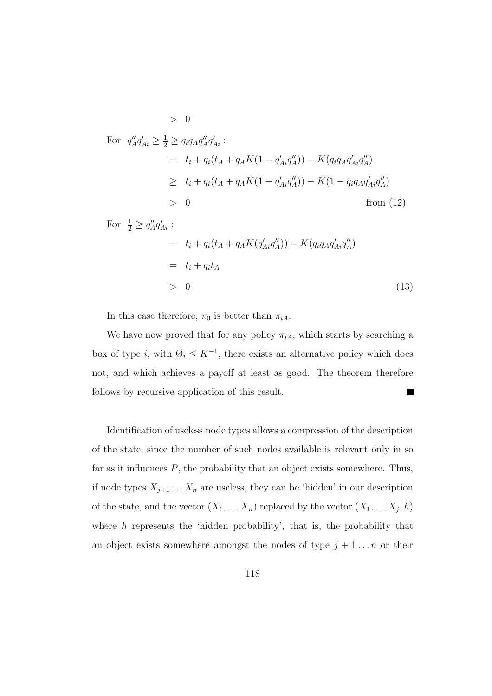For 
$$
q''_A q'_{Ai} \ge \frac{1}{2} \ge q_i q_A q''_A q'_{Ai}
$$
:  
\n
$$
= t_i + q_i (t_A + q_A K (1 - q'_{Ai} q''_A)) - K (q_i q_A q'_{Ai} q''_A)
$$
\n
$$
\ge t_i + q_i (t_A + q_A K (1 - q'_{Ai} q''_A)) - K (1 - q_i q_A q'_{Ai} q''_A)
$$
\n
$$
> 0
$$
 from (12)  
\nFor  $\frac{1}{2} \ge q''_A q'_{Ai}$ :  
\n
$$
= t_i + q_i (t_A + q_A K (q'_{Ai} q''_A)) - K (q_i q_A q'_{Ai} q''_A)
$$
\n
$$
= t_i + q_i t_A
$$

 $> 0$  (13)

In this case therefore,  $\pi_0$  is better than  $\pi_{iA}$ .

 $> 0$ 

We have now proved that for any policy  $\pi_{iA}$ , which starts by searching a box of type i, with  $\emptyset_i \leq K^{-1}$ , there exists an alternative policy which does not, and which achieves a payoff at least as good. The theorem therefore follows by recursive application of this result.  $\blacksquare$ 

Identification of useless node types allows a compression of the description of the state, since the number of such nodes available is relevant only in so far as it influences  $P$ , the probability that an object exists somewhere. Thus, if node types  $X_{j+1} \ldots X_n$  are useless, they can be 'hidden' in our description of the state, and the vector  $(X_1, \ldots X_n)$  replaced by the vector  $(X_1, \ldots X_j, h)$ where  $h$  represents the 'hidden probability', that is, the probability that an object exists somewhere amongst the nodes of type  $j + 1 \ldots n$  or their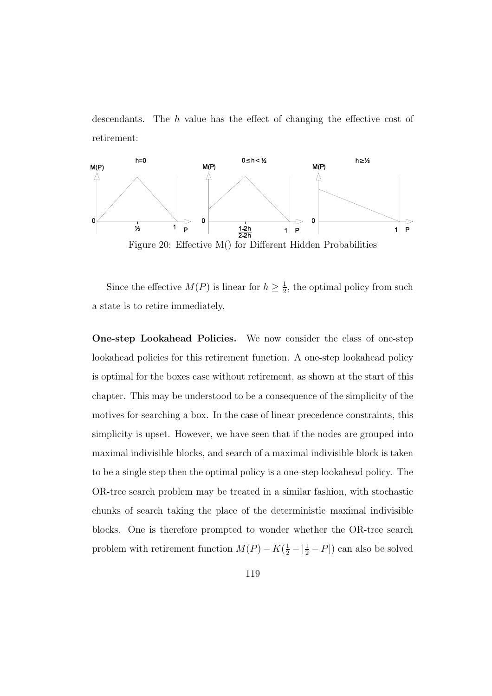descendants. The  $h$  value has the effect of changing the effective cost of retirement:



Since the effective  $M(P)$  is linear for  $h \geq \frac{1}{2}$ , the optimal policy from such a state is to retire immediately.

**One-step Lookahead Policies.** We now consider the class of one-step lookahead policies for this retirement function. A one-step lookahead policy is optimal for the boxes case without retirement, as shown at the start of this chapter. This may be understood to be a consequence of the simplicity of the motives for searching a box. In the case of linear precedence constraints, this simplicity is upset. However, we have seen that if the nodes are grouped into maximal indivisible blocks, and search of a maximal indivisible block is taken to be a single step then the optimal policy is a one-step lookahead policy. The OR-tree search problem may be treated in a similar fashion, with stochastic chunks of search taking the place of the deterministic maximal indivisible blocks. One is therefore prompted to wonder whether the OR-tree search problem with retirement function  $M(P) - K(\frac{1}{2} - |\frac{1}{2} - P|)$  can also be solved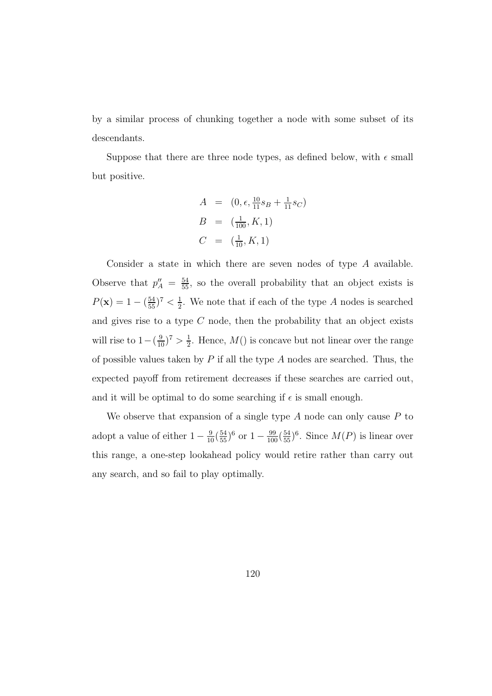by a similar process of chunking together a node with some subset of its descendants.

Suppose that there are three node types, as defined below, with  $\epsilon$  small but positive.

$$
A = (0, \epsilon, \frac{10}{11}s_B + \frac{1}{11}s_C)
$$
  
\n
$$
B = (\frac{1}{100}, K, 1)
$$
  
\n
$$
C = (\frac{1}{10}, K, 1)
$$

Consider a state in which there are seven nodes of type A available. Observe that  $p''_A = \frac{54}{55}$ , so the overall probability that an object exists is  $P(\mathbf{x}) = 1 - (\frac{54}{55})^7 < \frac{1}{2}$ . We note that if each of the type A nodes is searched and gives rise to a type  $C$  node, then the probability that an object exists will rise to  $1 - (\frac{9}{10})^7 > \frac{1}{2}$ . Hence,  $M()$  is concave but not linear over the range of possible values taken by  $P$  if all the type  $A$  nodes are searched. Thus, the expected payoff from retirement decreases if these searches are carried out, and it will be optimal to do some searching if  $\epsilon$  is small enough.

We observe that expansion of a single type  $A$  node can only cause  $P$  to adopt a value of either  $1 - \frac{9}{10} (\frac{54}{55})^6$  or  $1 - \frac{99}{100} (\frac{54}{55})^6$ . Since  $M(P)$  is linear over this range, a one-step lookahead policy would retire rather than carry out any search, and so fail to play optimally.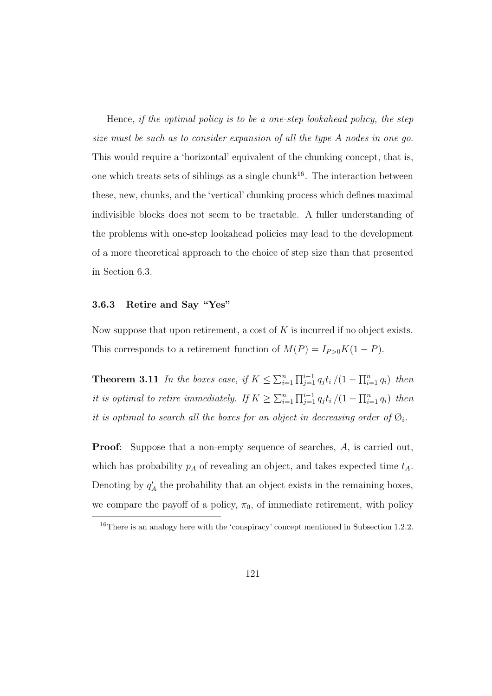Hence, if the optimal policy is to be a one-step lookahead policy, the step size must be such as to consider expansion of all the type A nodes in one go. This would require a 'horizontal' equivalent of the chunking concept, that is, one which treats sets of siblings as a single chunk<sup>16</sup>. The interaction between these, new, chunks, and the 'vertical' chunking process which defines maximal indivisible blocks does not seem to be tractable. A fuller understanding of the problems with one-step lookahead policies may lead to the development of a more theoretical approach to the choice of step size than that presented in Section 6.3.

## **3.6.3 Retire and Say "Yes"**

Now suppose that upon retirement, a cost of  $K$  is incurred if no object exists. This corresponds to a retirement function of  $M(P) = I_{P>0}K(1 - P)$ .

**Theorem 3.11** In the boxes case, if  $K \leq \sum_{i=1}^n \prod_{j=1}^{i-1} q_j t_i / (1 - \prod_{i=1}^n q_i)$  then it is optimal to retire immediately. If  $K \geq \sum_{i=1}^n \prod_{j=1}^{i-1} q_j t_i / (1 - \prod_{i=1}^n q_i)$  then it is optimal to search all the boxes for an object in decreasing order of  $\mathcal{O}_i$ .

**Proof**: Suppose that a non-empty sequence of searches, A, is carried out, which has probability  $p_A$  of revealing an object, and takes expected time  $t_A$ . Denoting by  $q'_A$  the probability that an object exists in the remaining boxes, we compare the payoff of a policy,  $\pi_0$ , of immediate retirement, with policy

<sup>&</sup>lt;sup>16</sup>There is an analogy here with the 'conspiracy' concept mentioned in Subsection 1.2.2.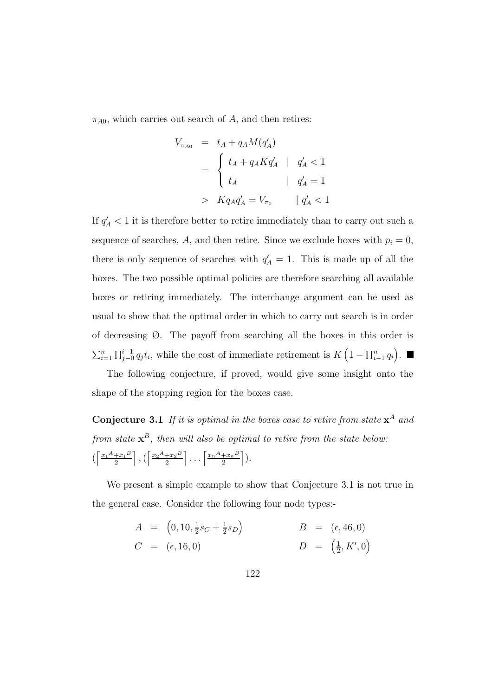$\pi_{A0}$ , which carries out search of A, and then retires:

$$
V_{\pi_{A0}} = t_A + q_A M(q'_A)
$$
  
= 
$$
\begin{cases} t_A + q_A K q'_A & | & q'_A < 1 \\ t_A & | & q'_A = 1 \end{cases}
$$
  
> 
$$
K q_A q'_A = V_{\pi_0} \qquad | q'_A < 1
$$

If  $q'_{\scriptscriptstyle{A}}$  < 1 it is therefore better to retire immediately than to carry out such a sequence of searches, A, and then retire. Since we exclude boxes with  $p_i = 0$ , there is only sequence of searches with  $q'_A = 1$ . This is made up of all the boxes. The two possible optimal policies are therefore searching all available boxes or retiring immediately. The interchange argument can be used as usual to show that the optimal order in which to carry out search is in order of decreasing  $\emptyset$ . The payoff from searching all the boxes in this order is  $\sum_{i=1}^n \prod_{j=0}^{i-1} q_j t_i$ , while the cost of immediate retirement is  $K\left(1-\prod_{i=1}^n q_i\right)$ .

The following conjecture, if proved, would give some insight onto the shape of the stopping region for the boxes case.

**Conjecture 3.1** If it is optimal in the boxes case to retire from state  $x^A$  and from state  $x^B$ , then will also be optimal to retire from the state below:  $\left( \frac{x_1^A + x_1^B}{2} \right)$  $\left[\frac{+x_1 B}{2}\right]$ ,  $\left(\frac{x_2 A + x_2 B}{2}\right)$  $\left[\frac{x_n^A+x_n^B}{2}\right] \ldots \left[\frac{x_n^A+x_n^B}{2}\right]$  $\frac{+x_n{}^B}{2}\bigg]$ ).

We present a simple example to show that Conjecture 3.1 is not true in the general case. Consider the following four node types:-

$$
A = (0, 10, \frac{1}{2}s_C + \frac{1}{2}s_D) \qquad B = (\epsilon, 46, 0) \n C = (\epsilon, 16, 0) \qquad D = (\frac{1}{2}, K', 0)
$$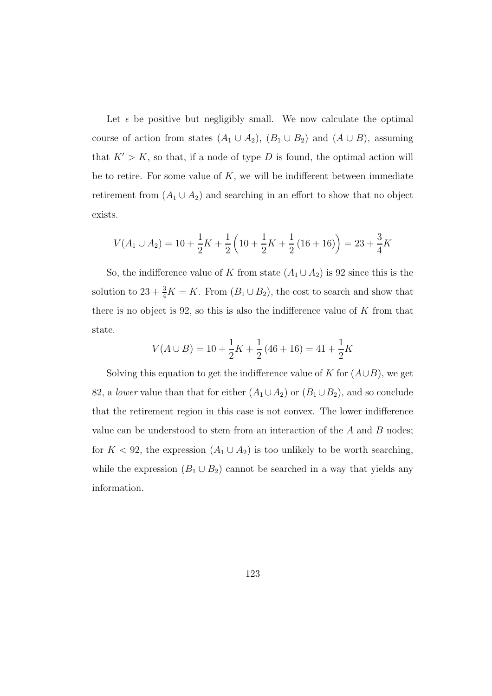Let  $\epsilon$  be positive but negligibly small. We now calculate the optimal course of action from states  $(A_1 \cup A_2)$ ,  $(B_1 \cup B_2)$  and  $(A \cup B)$ , assuming that  $K' > K$ , so that, if a node of type D is found, the optimal action will be to retire. For some value of  $K$ , we will be indifferent between immediate retirement from  $(A_1 \cup A_2)$  and searching in an effort to show that no object exists.

$$
V(A_1 \cup A_2) = 10 + \frac{1}{2}K + \frac{1}{2}\left(10 + \frac{1}{2}K + \frac{1}{2}\left(16 + 16\right)\right) = 23 + \frac{3}{4}K
$$

So, the indifference value of K from state  $(A_1 \cup A_2)$  is 92 since this is the solution to  $23 + \frac{3}{4}K = K$ . From  $(B_1 \cup B_2)$ , the cost to search and show that there is no object is 92, so this is also the indifference value of  $K$  from that state.

$$
V(A \cup B) = 10 + \frac{1}{2}K + \frac{1}{2}(46 + 16) = 41 + \frac{1}{2}K
$$

Solving this equation to get the indifference value of K for  $(A\cup B)$ , we get 82, a *lower* value than that for either  $(A_1 \cup A_2)$  or  $(B_1 \cup B_2)$ , and so conclude that the retirement region in this case is not convex. The lower indifference value can be understood to stem from an interaction of the  $A$  and  $B$  nodes; for  $K < 92$ , the expression  $(A_1 \cup A_2)$  is too unlikely to be worth searching, while the expression  $(B_1 \cup B_2)$  cannot be searched in a way that yields any information.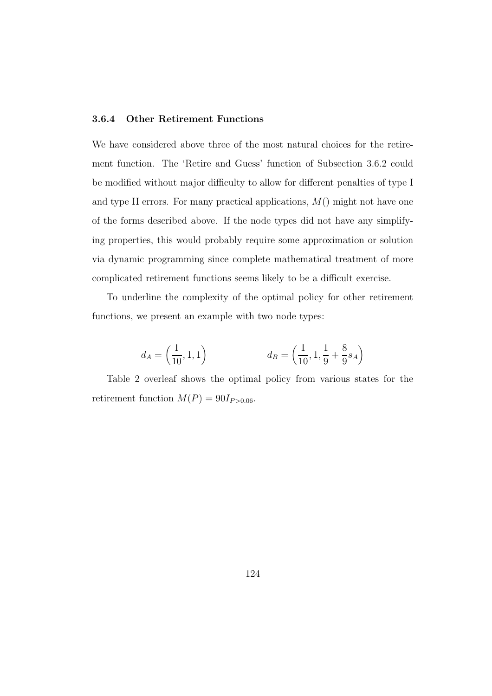### **3.6.4 Other Retirement Functions**

We have considered above three of the most natural choices for the retirement function. The 'Retire and Guess' function of Subsection 3.6.2 could be modified without major difficulty to allow for different penalties of type I and type II errors. For many practical applications,  $M()$  might not have one of the forms described above. If the node types did not have any simplifying properties, this would probably require some approximation or solution via dynamic programming since complete mathematical treatment of more complicated retirement functions seems likely to be a difficult exercise.

To underline the complexity of the optimal policy for other retirement functions, we present an example with two node types:

$$
d_A = \left(\frac{1}{10}, 1, 1\right) \qquad d_B = \left(\frac{1}{10}, 1, \frac{1}{9} + \frac{8}{9}s_A\right)
$$

Table 2 overleaf shows the optimal policy from various states for the retirement function  $M(P) = 90I_{P>0.06}$ .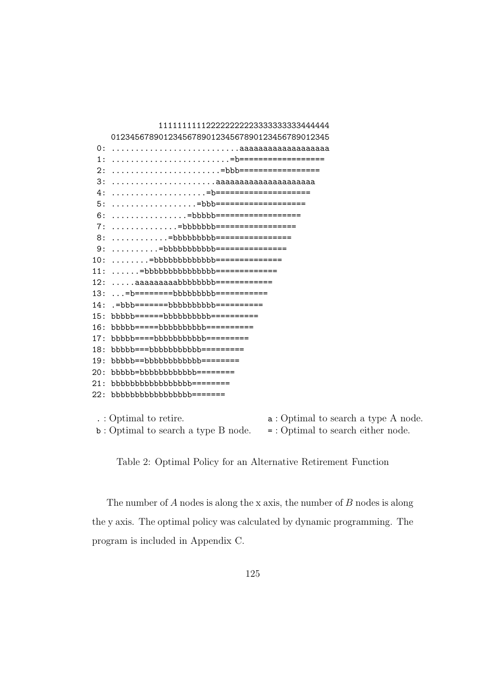111111111122222222223333333333444444 0123456789012345678901234567890123456789012345 0: ...........................aaaaaaaaaaaaaaaaaaa 1: .........................=b================== 2: .......................=bbb================= 3: ......................aaaaaaaaaaaaaaaaaaaaa 4: ....................=b==================== 5: ..................=bbb=================== 6: ................=bbbbb================== 7: ..............=bbbbbbb================= 8: ..............=bbbbbbbbbb============ 9: ..........=bbbbbbbbbbbb============== 10: ........=bbbbbbbbbbbbb==============  $11: \ldots \ldots$ =bbbbbbbbbbbbbbbbb============= 12: .....aaaaaaaaaabbbbbbbbb============= 13: ...=b=========bbbbbbbbb============ 14: .=bbb========bbbbbbbbbb=========== 15: bbbbb======bbbbbbbbbb========== 16: bbbbb======bbbbbbbbbb========== 17: bbbbb=====bbbbbbbbbbb========= 18: bbbbb===bbbbbbbbbbb========= 19: bbbbb==bbbbbbbbbbbbb======== 20: bbbbb=bbbbbbbbbbbb=======  $21:$  bbbbbbbbbbbbbbbbbb========= 22: bbbbbbbbbbbbbbbbb======= . : Optimal to retire.  $a : Optimal to search a type A node.$ b : Optimal to search a type B node. = : Optimal to search either node.

Table 2: Optimal Policy for an Alternative Retirement Function

The number of  $A$  nodes is along the x axis, the number of  $B$  nodes is along the y axis. The optimal policy was calculated by dynamic programming. The program is included in Appendix C.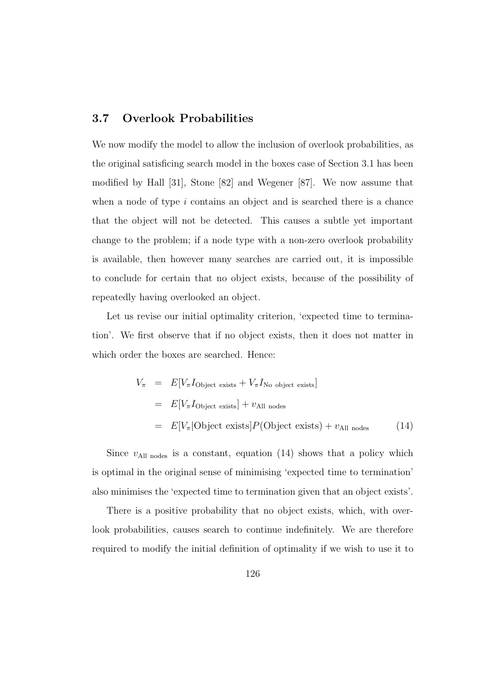## **3.7 Overlook Probabilities**

We now modify the model to allow the inclusion of overlook probabilities, as the original satisficing search model in the boxes case of Section 3.1 has been modified by Hall [31], Stone [82] and Wegener [87]. We now assume that when a node of type  $i$  contains an object and is searched there is a chance that the object will not be detected. This causes a subtle yet important change to the problem; if a node type with a non-zero overlook probability is available, then however many searches are carried out, it is impossible to conclude for certain that no object exists, because of the possibility of repeatedly having overlooked an object.

Let us revise our initial optimality criterion, 'expected time to termination'. We first observe that if no object exists, then it does not matter in which order the boxes are searched. Hence:

$$
V_{\pi} = E[V_{\pi}I_{\text{Object exists}} + V_{\pi}I_{\text{No object exists}}]
$$
  
=  $E[V_{\pi}I_{\text{Object exists}}] + v_{\text{All nodes}}$   
=  $E[V_{\pi}|\text{Object exists}]P(\text{Object exists}) + v_{\text{All nodes}}$  (14)

Since  $v_{\text{All nodes}}$  is a constant, equation (14) shows that a policy which is optimal in the original sense of minimising 'expected time to termination' also minimises the 'expected time to termination given that an object exists'.

There is a positive probability that no object exists, which, with overlook probabilities, causes search to continue indefinitely. We are therefore required to modify the initial definition of optimality if we wish to use it to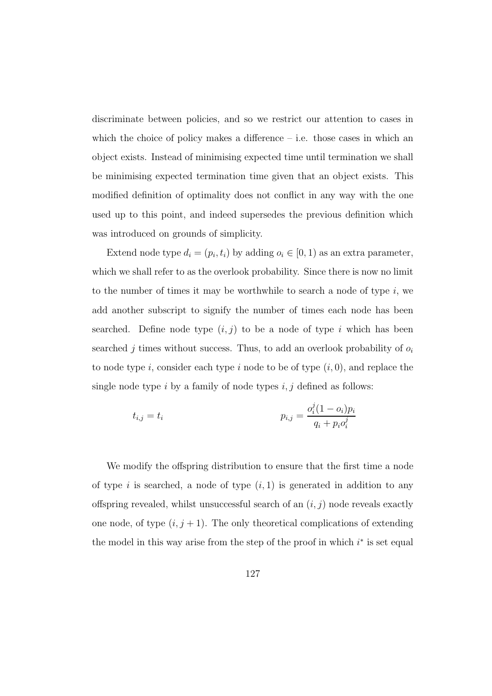discriminate between policies, and so we restrict our attention to cases in which the choice of policy makes a difference  $-$  i.e. those cases in which an object exists. Instead of minimising expected time until termination we shall be minimising expected termination time given that an object exists. This modified definition of optimality does not conflict in any way with the one used up to this point, and indeed supersedes the previous definition which was introduced on grounds of simplicity.

Extend node type  $d_i = (p_i, t_i)$  by adding  $o_i \in [0, 1)$  as an extra parameter, which we shall refer to as the overlook probability. Since there is now no limit to the number of times it may be worthwhile to search a node of type  $i$ , we add another subscript to signify the number of times each node has been searched. Define node type  $(i, j)$  to be a node of type i which has been searched j times without success. Thus, to add an overlook probability of  $o_i$ to node type i, consider each type i node to be of type  $(i, 0)$ , and replace the single node type i by a family of node types  $i, j$  defined as follows:

$$
t_{i,j} = t_i
$$
\n
$$
p_{i,j} = \frac{o_i^j (1 - o_i) p_i}{q_i + p_i o_i^j}
$$

We modify the offspring distribution to ensure that the first time a node of type i is searched, a node of type  $(i, 1)$  is generated in addition to any offspring revealed, whilst unsuccessful search of an  $(i, j)$  node reveals exactly one node, of type  $(i, j + 1)$ . The only theoretical complications of extending the model in this way arise from the step of the proof in which  $i^*$  is set equal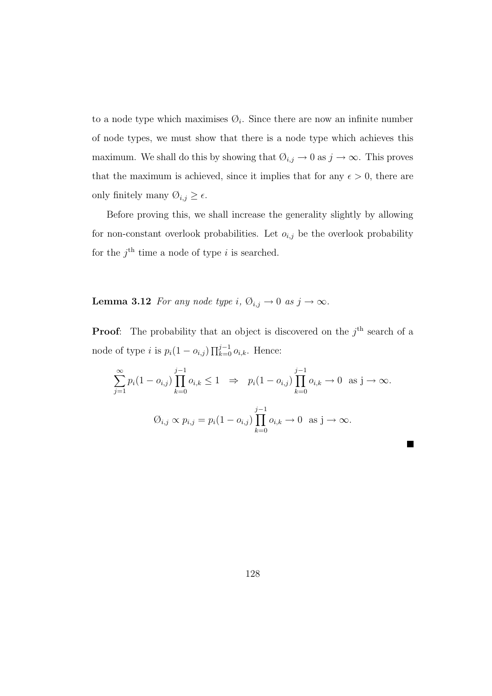to a node type which maximises  $\mathcal{O}_i$ . Since there are now an infinite number of node types, we must show that there is a node type which achieves this maximum. We shall do this by showing that  $\mathcal{O}_{i,j} \to 0$  as  $j \to \infty$ . This proves that the maximum is achieved, since it implies that for any  $\epsilon > 0$ , there are only finitely many  $\emptyset_{i,j} \geq \epsilon$ .

Before proving this, we shall increase the generality slightly by allowing for non-constant overlook probabilities. Let  $o_{i,j}$  be the overlook probability for the  $j^{\text{th}}$  time a node of type i is searched.

## **Lemma 3.12** For any node type i,  $\emptyset_{i,j} \to 0$  as  $j \to \infty$ .

**Proof:** The probability that an object is discovered on the  $j<sup>th</sup>$  search of a node of type *i* is  $p_i(1 - o_{i,j}) \prod_{k=0}^{j-1} o_{i,k}$ . Hence:

$$
\sum_{j=1}^{\infty} p_i (1 - o_{i,j}) \prod_{k=0}^{j-1} o_{i,k} \le 1 \Rightarrow p_i (1 - o_{i,j}) \prod_{k=0}^{j-1} o_{i,k} \to 0 \text{ as } j \to \infty.
$$
  

$$
O_{i,j} \propto p_{i,j} = p_i (1 - o_{i,j}) \prod_{k=0}^{j-1} o_{i,k} \to 0 \text{ as } j \to \infty.
$$

H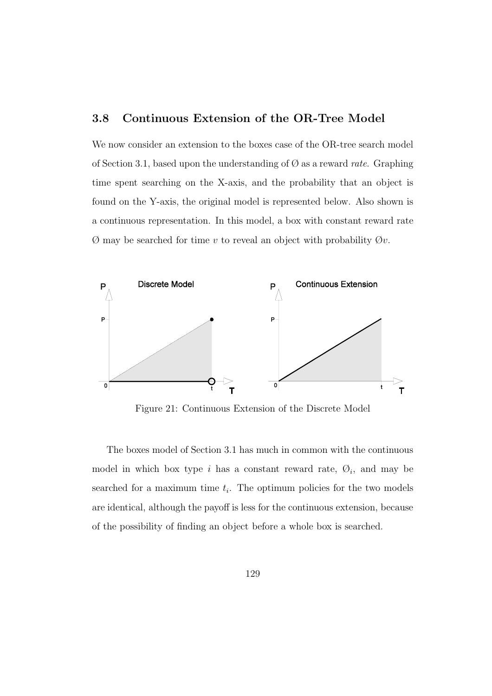# **3.8 Continuous Extension of the OR-Tree Model**

We now consider an extension to the boxes case of the OR-tree search model of Section 3.1, based upon the understanding of  $\emptyset$  as a reward rate. Graphing time spent searching on the X-axis, and the probability that an object is found on the Y-axis, the original model is represented below. Also shown is a continuous representation. In this model, a box with constant reward rate  $\emptyset$  may be searched for time v to reveal an object with probability  $\emptyset v$ .



Figure 21: Continuous Extension of the Discrete Model

The boxes model of Section 3.1 has much in common with the continuous model in which box type i has a constant reward rate,  $\mathcal{O}_i$ , and may be searched for a maximum time  $t_i$ . The optimum policies for the two models are identical, although the payoff is less for the continuous extension, because of the possibility of finding an object before a whole box is searched.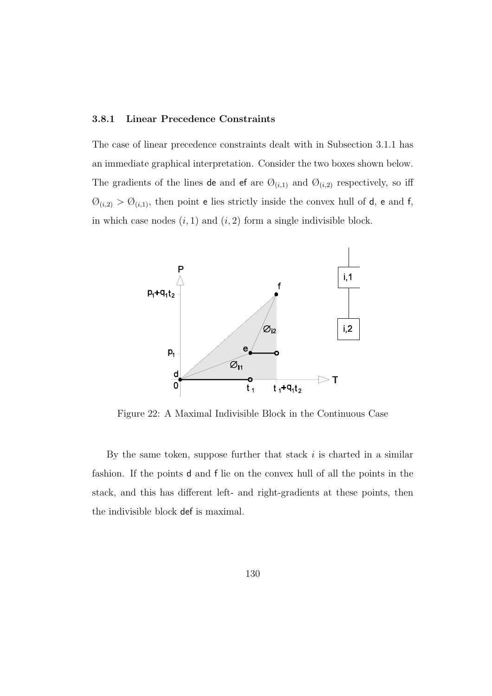### **3.8.1 Linear Precedence Constraints**

The case of linear precedence constraints dealt with in Subsection 3.1.1 has an immediate graphical interpretation. Consider the two boxes shown below. The gradients of the lines de and ef are  $\mathcal{O}_{(i,1)}$  and  $\mathcal{O}_{(i,2)}$  respectively, so iff  $\emptyset_{(i,2)} > \emptyset_{(i,1)}$ , then point e lies strictly inside the convex hull of d, e and f, in which case nodes  $(i, 1)$  and  $(i, 2)$  form a single indivisible block.



Figure 22: A Maximal Indivisible Block in the Continuous Case

By the same token, suppose further that stack  $i$  is charted in a similar fashion. If the points d and f lie on the convex hull of all the points in the stack, and this has different left- and right-gradients at these points, then the indivisible block def is maximal.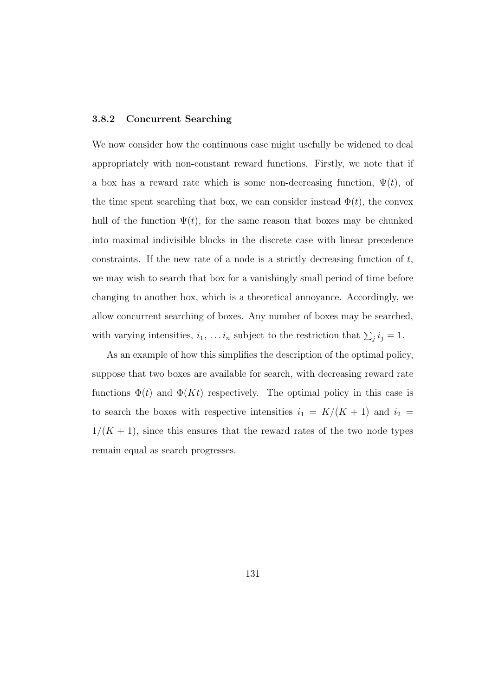#### **3.8.2 Concurrent Searching**

We now consider how the continuous case might usefully be widened to deal appropriately with non-constant reward functions. Firstly, we note that if a box has a reward rate which is some non-decreasing function,  $\Psi(t)$ , of the time spent searching that box, we can consider instead  $\Phi(t)$ , the convex hull of the function  $\Psi(t)$ , for the same reason that boxes may be chunked into maximal indivisible blocks in the discrete case with linear precedence constraints. If the new rate of a node is a strictly decreasing function of  $t$ , we may wish to search that box for a vanishingly small period of time before changing to another box, which is a theoretical annoyance. Accordingly, we allow concurrent searching of boxes. Any number of boxes may be searched, with varying intensities,  $i_1, \ldots i_n$  subject to the restriction that  $\sum_i i_j = 1$ .

As an example of how this simplifies the description of the optimal policy, suppose that two boxes are available for search, with decreasing reward rate functions  $\Phi(t)$  and  $\Phi(Kt)$  respectively. The optimal policy in this case is to search the boxes with respective intensities  $i_1 = K/(K + 1)$  and  $i_2 =$  $1/(K+1)$ , since this ensures that the reward rates of the two node types remain equal as search progresses.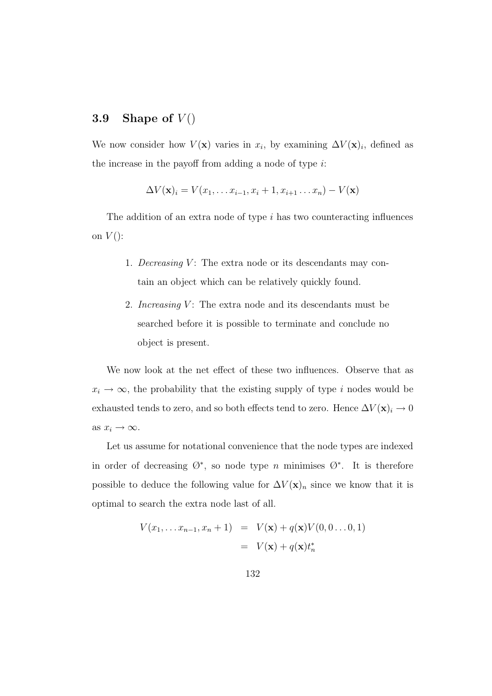# **3.9** Shape of  $V()$

We now consider how  $V(\mathbf{x})$  varies in  $x_i$ , by examining  $\Delta V(\mathbf{x})_i$ , defined as the increase in the payoff from adding a node of type  $i$ :

$$
\Delta V(\mathbf{x})_i = V(x_1, \dots x_{i-1}, x_i + 1, x_{i+1} \dots x_n) - V(\mathbf{x})
$$

The addition of an extra node of type i has two counteracting influences on  $V()$ :

- 1. Decreasing  $V$ : The extra node or its descendants may contain an object which can be relatively quickly found.
- 2. Increasing  $V$ : The extra node and its descendants must be searched before it is possible to terminate and conclude no object is present.

We now look at the net effect of these two influences. Observe that as  $x_i \rightarrow \infty$ , the probability that the existing supply of type i nodes would be exhausted tends to zero, and so both effects tend to zero. Hence  $\Delta V(\mathbf{x})_i \to 0$ as  $x_i \rightarrow \infty$ .

Let us assume for notational convenience that the node types are indexed in order of decreasing  $\emptyset^*$ , so node type *n* minimises  $\emptyset^*$ . It is therefore possible to deduce the following value for  $\Delta V(\mathbf{x})_n$  since we know that it is optimal to search the extra node last of all.

$$
V(x_1, \dots x_{n-1}, x_n + 1) = V(\mathbf{x}) + q(\mathbf{x})V(0, 0 \dots 0, 1)
$$

$$
= V(\mathbf{x}) + q(\mathbf{x})t_n^*
$$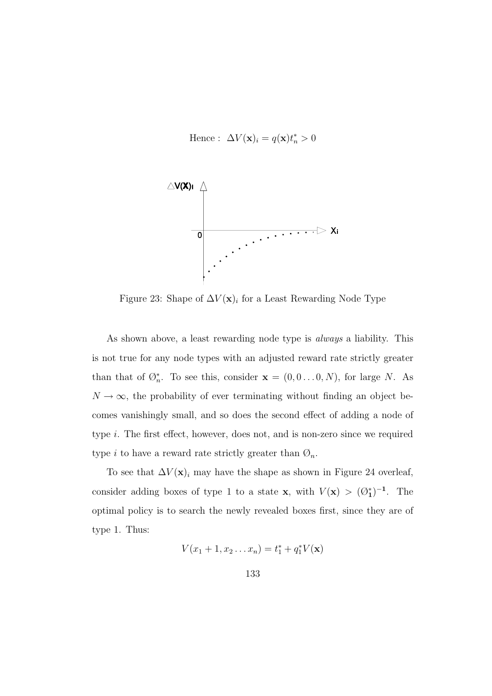Hence :  $\Delta V(\mathbf{x})_i = q(\mathbf{x}) t_n^* > 0$ 



Figure 23: Shape of  $\Delta V(\mathbf{x})_i$  for a Least Rewarding Node Type

As shown above, a least rewarding node type is always a liability. This is not true for any node types with an adjusted reward rate strictly greater than that of  $\mathcal{O}_n^*$ . To see this, consider  $\mathbf{x} = (0, 0 \dots 0, N)$ , for large N. As  $N \to \infty$ , the probability of ever terminating without finding an object becomes vanishingly small, and so does the second effect of adding a node of type i. The first effect, however, does not, and is non-zero since we required type i to have a reward rate strictly greater than  $\mathcal{O}_n$ .

To see that  $\Delta V(\mathbf{x})_i$  may have the shape as shown in Figure 24 overleaf, consider adding boxes of type 1 to a state **x**, with  $V(\mathbf{x}) > (\emptyset_1^*)^{-1}$ . The optimal policy is to search the newly revealed boxes first, since they are of type 1. Thus:

$$
V(x_1 + 1, x_2 ... x_n) = t_1^* + q_1^* V(\mathbf{x})
$$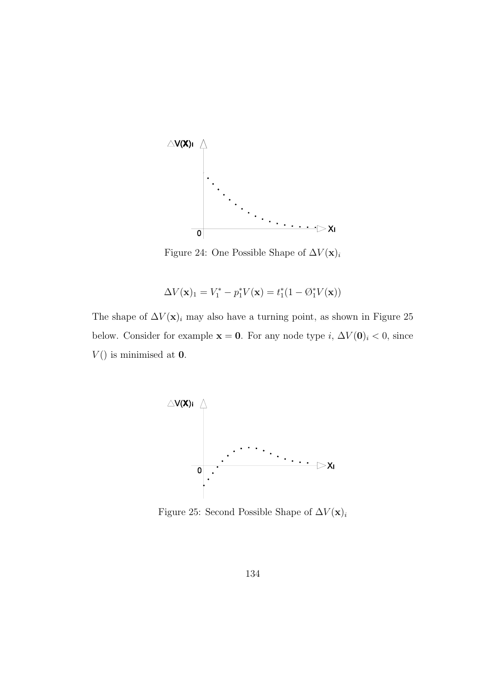

Figure 24: One Possible Shape of  $\Delta V(\mathbf{x})_i$ 

$$
\Delta V(\mathbf{x})_1 = V_1^* - p_1^* V(\mathbf{x}) = t_1^* (1 - \mathcal{O}_1^* V(\mathbf{x}))
$$

The shape of  $\Delta V(\mathbf{x})_i$  may also have a turning point, as shown in Figure 25 below. Consider for example **x** = **0**. For any node type i,  $\Delta V(\mathbf{0})$ <sub>i</sub> < 0, since  $V()$  is minimised at  $0$ .



Figure 25: Second Possible Shape of  $\Delta V(\mathbf{x})_i$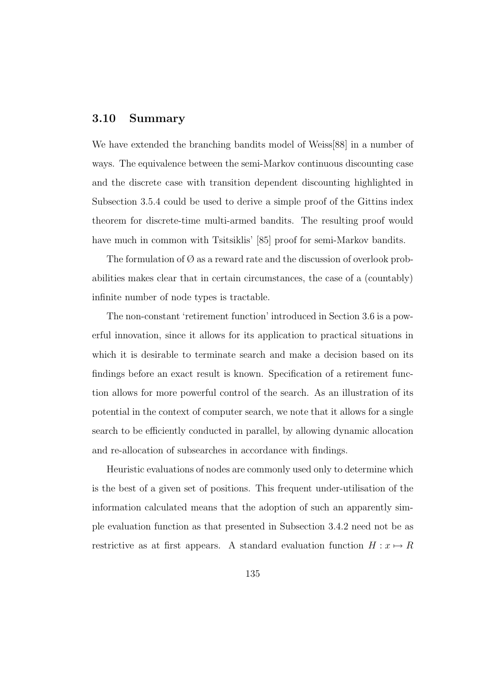## **3.10 Summary**

We have extended the branching bandits model of Weiss[88] in a number of ways. The equivalence between the semi-Markov continuous discounting case and the discrete case with transition dependent discounting highlighted in Subsection 3.5.4 could be used to derive a simple proof of the Gittins index theorem for discrete-time multi-armed bandits. The resulting proof would have much in common with Tsitsiklis' [85] proof for semi-Markov bandits.

The formulation of  $\varnothing$  as a reward rate and the discussion of overlook probabilities makes clear that in certain circumstances, the case of a (countably) infinite number of node types is tractable.

The non-constant 'retirement function' introduced in Section 3.6 is a powerful innovation, since it allows for its application to practical situations in which it is desirable to terminate search and make a decision based on its findings before an exact result is known. Specification of a retirement function allows for more powerful control of the search. As an illustration of its potential in the context of computer search, we note that it allows for a single search to be efficiently conducted in parallel, by allowing dynamic allocation and re-allocation of subsearches in accordance with findings.

Heuristic evaluations of nodes are commonly used only to determine which is the best of a given set of positions. This frequent under-utilisation of the information calculated means that the adoption of such an apparently simple evaluation function as that presented in Subsection 3.4.2 need not be as restrictive as at first appears. A standard evaluation function  $H: x \mapsto R$